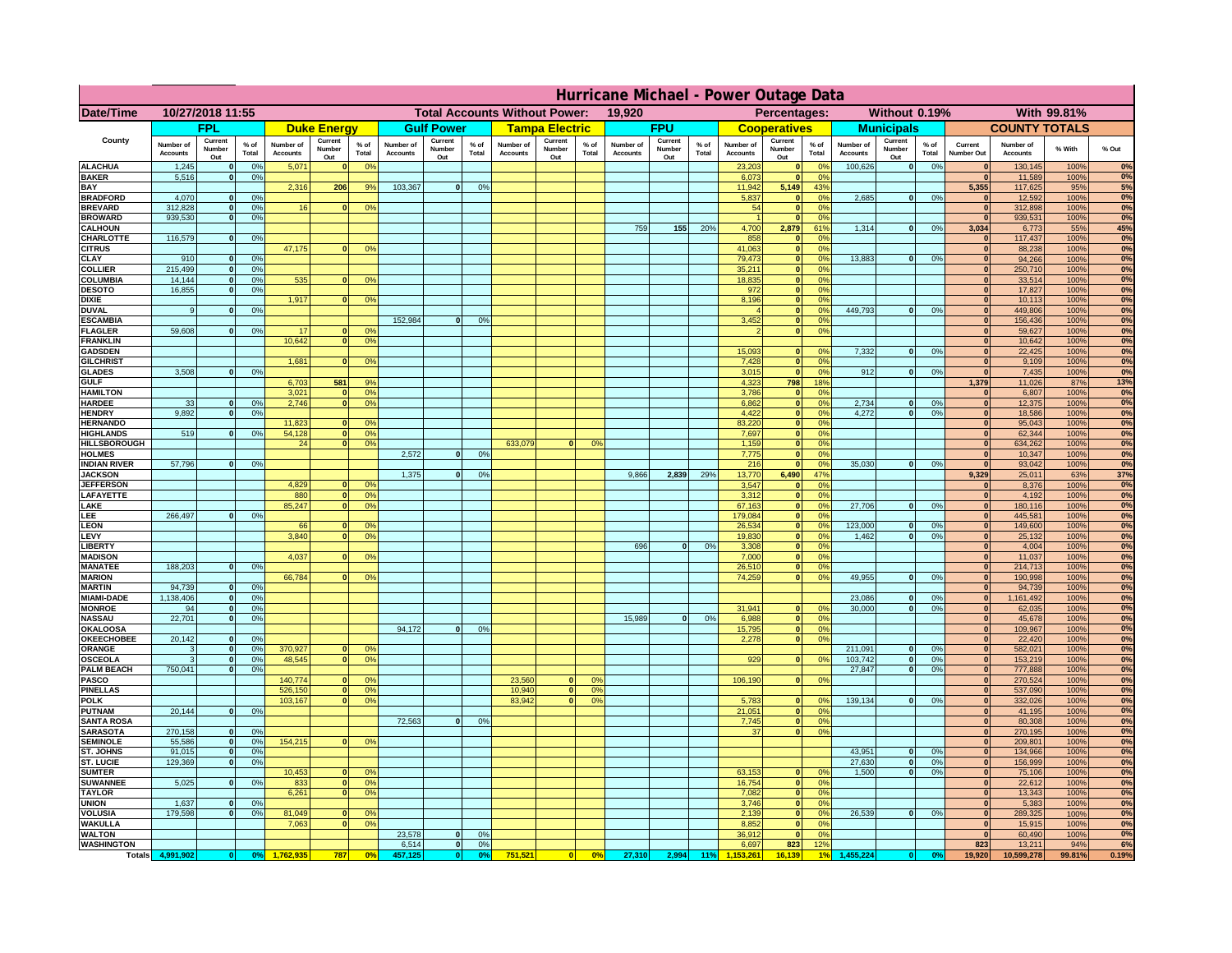|                                         | Hurricane Michael - Power Outage Data |                              |                      |                              |                                 |                      |                              |                          |                      |                                      |                          |                 |                              |                          |               |                              |                          |                                               |                              |                          |                 |                              |                              |              |             |
|-----------------------------------------|---------------------------------------|------------------------------|----------------------|------------------------------|---------------------------------|----------------------|------------------------------|--------------------------|----------------------|--------------------------------------|--------------------------|-----------------|------------------------------|--------------------------|---------------|------------------------------|--------------------------|-----------------------------------------------|------------------------------|--------------------------|-----------------|------------------------------|------------------------------|--------------|-------------|
| Date/Time                               |                                       | 10/27/2018 11:55             |                      |                              |                                 |                      |                              |                          |                      | <b>Total Accounts Without Power:</b> |                          |                 | 19,920                       |                          |               |                              | Percentages:             |                                               |                              | Without 0.19%            |                 |                              |                              | With 99.81%  |             |
|                                         |                                       | <b>FPL</b>                   |                      |                              | <b>Duke Energy</b>              |                      |                              | <b>Gulf Power</b>        |                      |                                      | <b>Tampa Electric</b>    |                 |                              | <b>FPU</b>               |               |                              | <b>Cooperatives</b>      |                                               |                              | <b>Municipals</b>        |                 |                              | <b>COUNTY TOTALS</b>         |              |             |
| County                                  | Number of<br><b>Accounts</b>          | Current<br>Number<br>Out     | $%$ of<br>Total      | Number of<br><b>Accounts</b> | Current<br><b>Number</b><br>Out | $%$ of<br>Total      | Number of<br><b>Accounts</b> | Current<br>Number<br>Out | $%$ of<br>Total      | Number of<br><b>Accounts</b>         | Current<br>Number<br>Out | $%$ of<br>Total | Number of<br><b>Accounts</b> | Current<br>Number<br>Out | % of<br>Total | Number of<br><b>Accounts</b> | Current<br>Number<br>Out | $%$ of<br>Total                               | Number of<br><b>Accounts</b> | Current<br>Number<br>Out | $%$ of<br>Total | Current<br>Number Out        | Number of<br><b>Accounts</b> | % With       | % Out       |
| <b>ALACHUA</b><br><b>BAKER</b>          | 1,245                                 | $\mathbf{0}$<br>$\mathbf{0}$ | 0%                   | 5,071                        |                                 | 0 <sup>9</sup>       |                              |                          |                      |                                      |                          |                 |                              |                          |               | 23,203                       | $\bf{0}$<br>$\bf{0}$     | $^{\circ}$<br>0 <sup>9</sup>                  | 100,626                      | 0                        | 0%              | $\mathbf{0}$<br>$\mathbf{0}$ | 130,145                      | 100%         | 0%<br>0%    |
| BAY                                     | 5,516                                 |                              | 0%                   | 2,316                        | 206                             | 9%                   | 103,367                      | 0                        | 0%                   |                                      |                          |                 |                              |                          |               | 6,073<br>11,942              | 5,149                    | 43%                                           |                              |                          |                 | 5,355                        | 11,589<br>117,625            | 100%<br>95%  | 5%          |
| <b>BRADFORD</b>                         | 4,070                                 | $\Omega$                     | 0%                   |                              |                                 |                      |                              |                          |                      |                                      |                          |                 |                              |                          |               | 5,837                        | $\mathbf{0}$             | 0 <sup>9</sup>                                | 2,685                        | 0                        | 0%              | $\Omega$                     | 12,592                       | 100%         | 0%          |
| <b>BREVARD</b><br><b>BROWARD</b>        | 312.828<br>939.530                    | $\mathbf{0}$<br>$\mathbf{0}$ | 0%<br>0%             | 16                           |                                 | 0 <sup>o</sup>       |                              |                          |                      |                                      |                          |                 |                              |                          |               | 54                           | 0 <br> 0                 | 0 <sup>9</sup><br>0%                          |                              |                          |                 | 0 <br> 0                     | 312,898<br>939,531           | 100%<br>100% | 0%<br>0%    |
| <b>CALHOUN</b>                          |                                       |                              |                      |                              |                                 |                      |                              |                          |                      |                                      |                          |                 | 759                          | 155                      | 20%           | 4,700                        | 2,879                    | 61%                                           | 1,314                        | 0                        | 0%              | 3,034                        | 6,773                        | 55%          | 45%         |
| CHARLOTTE<br><b>CITRUS</b>              | 116,579                               | $\mathbf{0}$                 | 0%                   | 47,175                       |                                 | 0 <sup>o</sup>       |                              |                          |                      |                                      |                          |                 |                              |                          |               | 858<br>41.063                | $\mathbf{0}$<br> 0       | 0%<br>0 <sup>9</sup>                          |                              |                          |                 | $\mathbf{0}$<br>$\mathbf{0}$ | 117,437<br>88.238            | 100%<br>100% | 0%<br>0%    |
| CLAY                                    | 910                                   |                              | 0%                   |                              |                                 |                      |                              |                          |                      |                                      |                          |                 |                              |                          |               | 79,473                       | 0                        | 0%                                            | 13,883                       | 0                        | 0%              | $\bf{0}$                     | 94,266                       | 100%         | 0%          |
| <b>COLLIER</b>                          | 215,499                               |                              | 0%                   |                              |                                 |                      |                              |                          |                      |                                      |                          |                 |                              |                          |               | 35,211                       | 0                        | 0 <sup>9</sup>                                |                              |                          |                 | $\mathbf{0}$                 | 250,710                      | 100%         | 0%          |
| COLUMBIA<br><b>DESOTO</b>               | 14,144<br>16,855                      |                              | 0%<br>0%             | 535                          |                                 | 0 <sup>o</sup>       |                              |                          |                      |                                      |                          |                 |                              |                          |               | 18,835<br>972                | 0 <br> 0                 | 0 <sup>9</sup><br>0 <sup>9</sup>              |                              |                          |                 | $\mathbf{0}$                 | 33,514<br>17,827             | 100%<br>100% | 0%<br>0%    |
| <b>DIXIE</b>                            |                                       |                              |                      | 1,917                        |                                 | 0 <sup>o</sup>       |                              |                          |                      |                                      |                          |                 |                              |                          |               | 8,196                        | 0                        | 0 <sup>9</sup>                                |                              |                          |                 | $\mathbf{0}$                 | 10,113                       | 100%         | 0%          |
| <b>DUVAL</b>                            | 9                                     |                              | 0 <sup>9</sup>       |                              |                                 |                      |                              |                          |                      |                                      |                          |                 |                              |                          |               |                              | 0                        | 0 <sup>o</sup>                                | 449,793                      | 0                        | 0%              | $\mathbf{0}$                 | 449,806                      | 100%         | 0%<br>0%    |
| <b>ESCAMBIA</b><br><b>FLAGLER</b>       | 59,608                                | $\mathbf{0}$                 | 0 <sup>9</sup>       | 17                           |                                 | 0 <sup>9</sup>       | 152,984                      | $\Omega$                 | 0 <sup>9</sup>       |                                      |                          |                 |                              |                          |               | 3,452                        | $\mathbf{0}$<br> 0       | 0 <sup>o</sup><br>0 <sup>9</sup>              |                              |                          |                 | $\mathbf{0}$<br>$\mathbf{0}$ | 156,436<br>59,627            | 100%<br>100% | 0%          |
| <b>FRANKLIN</b>                         |                                       |                              |                      | 10,642                       |                                 | 0 <sup>9</sup>       |                              |                          |                      |                                      |                          |                 |                              |                          |               |                              |                          |                                               |                              |                          |                 | $\bf{0}$                     | 10,642                       | 100%         | 0%          |
| <b>GADSDEN</b>                          |                                       |                              |                      | 1.681                        |                                 |                      |                              |                          |                      |                                      |                          |                 |                              |                          |               | 15,093                       | $\mathbf{0}$             | 0 <sup>9</sup><br>0 <sup>9</sup>              | 7,332                        | 0                        | 0%              | 0 <br> 0                     | 22,425                       | 100%         | 0%<br>0%    |
| <b>GILCHRIST</b><br><b>GLADES</b>       | 3.508                                 |                              | 0%                   |                              |                                 | 0 <sup>9</sup>       |                              |                          |                      |                                      |                          |                 |                              |                          |               | 7,428<br>3,015               | 0 <br> 0                 | 0%                                            | 912                          | 0                        | 0%              | $\mathbf{0}$                 | 9,109<br>7,435               | 100%<br>100% | 0%          |
| <b>GULF</b>                             |                                       |                              |                      | 6,703                        | 581                             | 9%                   |                              |                          |                      |                                      |                          |                 |                              |                          |               | 4,323                        | 798                      | 18%                                           |                              |                          |                 | 1,379                        | 11,026                       | 87%          | 13%         |
| <b>HAMILTON</b>                         |                                       | $\mathbf{0}$                 |                      | 3,021<br>2,746               |                                 | 0%                   |                              |                          |                      |                                      |                          |                 |                              |                          |               | 3,786                        | 0                        | 0 <sup>9</sup><br> 0                          | 2,734                        |                          |                 | 0                            | 6,807                        | 100%         | 0%<br>0%    |
| <b>HARDEE</b><br><b>HENDRY</b>          | 33<br>9.892                           | $\Omega$                     | 0%<br>0 <sup>9</sup> |                              |                                 | 0 <sup>9</sup>       |                              |                          |                      |                                      |                          |                 |                              |                          |               | 6,862<br>4,422               |                          | 0%<br> 0 <br>0%                               | 4.272                        | $\mathbf{0}$<br> 0       | 0%<br>0%        | 0 <br> 0                     | 12,375<br>18,586             | 100%<br>100% | 0%          |
| <b>HERNANDO</b>                         |                                       |                              |                      | 11,823                       |                                 | 0 <sup>o</sup>       |                              |                          |                      |                                      |                          |                 |                              |                          |               | 83,220                       |                          | 0 <br>0 <sup>9</sup>                          |                              |                          |                 | 0                            | 95,043                       | 100%         | 0%          |
| <b>HIGHLANDS</b><br><b>HILLSBOROUGH</b> | 519                                   | $\Omega$                     | 0%                   | 54,128<br>24                 |                                 | 0%<br>0 <sup>o</sup> |                              |                          |                      | 633,079                              | $\Omega$                 | 0 <sup>9</sup>  |                              |                          |               | 7,697<br>1,159               |                          | 0 <br>0 <sup>9</sup><br> 0 <br>0 <sup>9</sup> |                              |                          |                 | 0 <br> 0                     | 62,344<br>634,262            | 100%<br>100% | 0%<br>0%    |
| <b>HOLMES</b>                           |                                       |                              |                      |                              |                                 |                      | 2,572                        | $\Omega$                 | 0 <sup>9</sup>       |                                      |                          |                 |                              |                          |               | 7,775                        | 0                        | 0 <sup>9</sup>                                |                              |                          |                 | $\mathbf{0}$                 | 10,347                       | 100%         | 0%          |
| <b>INDIAN RIVER</b>                     | 57,796                                |                              | 0%                   |                              |                                 |                      |                              |                          |                      |                                      |                          |                 |                              |                          |               | 216                          | 0                        | 0 <sup>9</sup>                                | 35.030                       | $\mathbf{0}$             | 0%              | $\mathbf{0}$                 | 93,042                       | 100%         | 0%          |
| <b>JACKSON</b><br><b>JEFFERSON</b>      |                                       |                              |                      | 4.829                        |                                 | 0 <sup>9</sup>       | 1,375                        | $\Omega$                 | 0 <sup>9</sup>       |                                      |                          |                 | 9,866                        | 2,839                    | 29%           | 13,770<br>3.547              | 6,490<br>$\mathbf{0}$    | 47%<br>0%                                     |                              |                          |                 | 9,329<br>$\mathbf{0}$        | 25,011<br>8,376              | 63%<br>100%  | 37%<br>0%   |
| LAFAYETTE                               |                                       |                              |                      | 880                          | n.                              | 0 <sup>9</sup>       |                              |                          |                      |                                      |                          |                 |                              |                          |               | 3.312                        |                          | $\mathbf{0}$<br>0%                            |                              |                          |                 | 0                            | 4,192                        | 100%         | 0%          |
| LAKE                                    |                                       |                              |                      | 85,247                       |                                 | 0%                   |                              |                          |                      |                                      |                          |                 |                              |                          |               | 67,163                       |                          | 0 <br>0%                                      | 27,706                       | $\mathbf{0}$             | 0%              | 0                            | 180,116                      | 100%         | 0%          |
| LEE<br><b>LEON</b>                      | 266,497                               |                              | 0%                   | 66                           |                                 | 0 <sup>9</sup>       |                              |                          |                      |                                      |                          |                 |                              |                          |               | 179,084<br>26,534            |                          | 0%<br> 0 <br> 0 <br>0%                        | 123,000                      | $\mathbf{0}$             | 0%              | 0 <br> 0                     | 445,581<br>149,600           | 100%<br>100% | 0%<br>0%    |
| LEVY                                    |                                       |                              |                      | 3,840                        |                                 | 0 <sup>9</sup>       |                              |                          |                      |                                      |                          |                 |                              |                          |               | 19,830                       |                          | 0%<br> 0                                      | 1,462                        | $\mathbf{0}$             | 0%              | 0                            | 25,132                       | 100%         | 0%          |
| <b>LIBERT</b>                           |                                       |                              |                      |                              |                                 |                      |                              |                          |                      |                                      |                          |                 | 696                          | $\Omega$                 | 0%            | 3,308                        |                          | 0%<br> 0                                      |                              |                          |                 | 0                            | 4,004                        | 100%         | 0%<br>0%    |
| <b>MADISON</b><br><b>MANATEE</b>        | 188,203                               | $\mathbf{0}$                 | 0 <sup>9</sup>       | 4,037                        |                                 | 0 <sup>o</sup>       |                              |                          |                      |                                      |                          |                 |                              |                          |               | 7,000<br>26,510              |                          | 0%<br> 0 <br>0%<br> 0                         |                              |                          |                 | 0 <br> 0                     | 11,037<br>214,713            | 100%<br>100% | 0%          |
| <b>MARION</b>                           |                                       |                              |                      | 66,784                       |                                 | 0 <sup>9</sup>       |                              |                          |                      |                                      |                          |                 |                              |                          |               | 74,259                       |                          | 0 <br>0%                                      | 49,955                       | 0                        | 0%              | $\mathbf{0}$                 | 190,998                      | 100%         | 0%          |
| <b>MARTIN</b><br><b>MIAMI-DADE</b>      | 94,739<br>1,138,406                   | $\mathbf{0}$<br> 0           | 0 <sup>9</sup><br>0% |                              |                                 |                      |                              |                          |                      |                                      |                          |                 |                              |                          |               |                              |                          |                                               | 23,086                       | 0                        | 0%              | 0                            | 94,739<br>1,161,492          | 100%<br>100% | 0%<br>0%    |
| <b>MONROE</b>                           | 94                                    | -ol                          | 0%                   |                              |                                 |                      |                              |                          |                      |                                      |                          |                 |                              |                          |               | 31,941                       | $\mathbf{0}$             | 0 <sup>9</sup>                                | 30,000                       | 0                        | 0%              | 0 <br>$\mathbf{0}$           | 62,035                       | 100%         | 0%          |
| <b>NASSAU</b>                           | 22,701                                | 0                            | 0%                   |                              |                                 |                      |                              |                          |                      |                                      |                          |                 | 15,989                       | 0                        | 0%            | 6,988                        |                          | 0 <br>0%                                      |                              |                          |                 | 0                            | 45,678                       | 100%         | 0%          |
| <b>OKALOOSA</b><br><b>OKEECHOBEE</b>    | 20,142                                | 0                            | 0%                   |                              |                                 |                      | 94,172                       | 0                        | 0%                   |                                      |                          |                 |                              |                          |               | 15,795<br>2,278              |                          | 0%<br> 0 <br>0%<br> 0                         |                              |                          |                 | 0 <br> 0                     | 109,967<br>22,420            | 100%<br>100% | 0%<br>0%    |
| ORANGE                                  | 3                                     | 0                            | 0%                   | 370,927                      |                                 | 0 <sup>9</sup>       |                              |                          |                      |                                      |                          |                 |                              |                          |               |                              |                          |                                               | 211,091                      | 0                        | 0%              | 0                            | 582,021                      | 100%         | 0%          |
| <b>OSCEOLA</b>                          | 3                                     | 0                            | 0%                   | 48,545                       | $\mathbf{0}$                    | 0%                   |                              |                          |                      |                                      |                          |                 |                              |                          |               | 929                          |                          | 0 <br>0%                                      | 103,742                      | 0                        | 0%              | 0                            | 153,219                      | 100%         | 0%          |
| <b>PALM BEACH</b><br><b>PASCO</b>       | 750,041                               | 0                            | 0%                   | 140,774                      |                                 | 0 <sup>9</sup>       |                              |                          |                      | 23,560                               | $\mathbf{0}$             | O <sup>o</sup>  |                              |                          |               | 106,190                      |                          | 0%<br> 0                                      | 27,847                       | 0                        | 0%              | 0 <br> 0                     | 777,888<br>270,524           | 100%<br>100% | 0%<br>0%    |
| <b>PINELLAS</b>                         |                                       |                              |                      | 526,150                      | $\mathbf{0}$                    | 0%                   |                              |                          |                      | 10,940                               | 0                        | 0 <sup>9</sup>  |                              |                          |               |                              |                          |                                               |                              |                          |                 | 0                            | 537,090                      | 100%         | 0%          |
| <b>POLK</b>                             |                                       |                              |                      | 103,167                      | $\Omega$                        | 0 <sup>9</sup>       |                              |                          |                      | 83,942                               | 0                        | 0 <sup>o</sup>  |                              |                          |               | 5,783                        |                          | 0 <br>$^{\circ}$                              | 139,134                      | 0                        | 0%              | 0                            | 332,026                      | 100%         | 0%          |
| <b>PUTNAM</b><br><b>SANTA ROSA</b>      | 20,144                                | 0                            | 0%                   |                              |                                 |                      | 72,563                       | 0                        | 0%                   |                                      |                          |                 |                              |                          |               | 21,051<br>7,745              |                          | 0 <sup>9</sup><br> 0 <br>0 <sup>9</sup><br> 0 |                              |                          |                 | 0 <br>$\Omega$               | 41,195<br>80,308             | 100%<br>100% | 0%<br>0%    |
| <b>SARASOTA</b>                         | 270,158                               | 0                            | 0 <sup>9</sup>       |                              |                                 |                      |                              |                          |                      |                                      |                          |                 |                              |                          |               | 37                           |                          | 0%<br> 0                                      |                              |                          |                 | $\mathbf{0}$                 | 270,195                      | 100%         | 0%          |
| <b>SEMINOLE</b>                         | 55,586                                | 0                            | 0 <sup>9</sup>       | 154,215                      | $\mathbf{0}$                    | 0 <sup>9</sup>       |                              |                          |                      |                                      |                          |                 |                              |                          |               |                              |                          |                                               |                              |                          |                 | 0                            | 209,801                      | 100%         | 0%          |
| ST. JOHNS<br>ST. LUCIE                  | 91,015<br>129,369                     | 0 <br>$\mathbf{0}$           | 0%<br>0%             |                              |                                 |                      |                              |                          |                      |                                      |                          |                 |                              |                          |               |                              |                          |                                               | 43,951<br>27,630             | 0 <br> 0                 | 0%<br>0%        | $\mathbf{0}$<br>$\mathbf{0}$ | 134,966<br>156,999           | 100%<br>100% | 0%<br>0%    |
| <b>SUMTER</b>                           |                                       |                              |                      | 10,453                       |                                 | 0 <sup>9</sup>       |                              |                          |                      |                                      |                          |                 |                              |                          |               | 63,153                       |                          | 0 <sup>9</sup><br>$\mathbf{0}$                | 1.500                        | 0                        | 0%              | 0                            | 75,106                       | 100%         | 0%          |
| <b>SUWANNEE</b>                         | 5,025                                 | $\Omega$                     | 0%                   | 833                          | $\mathbf{0}$                    | 0 <sup>9</sup>       |                              |                          |                      |                                      |                          |                 |                              |                          |               | 16,754                       |                          | 0 <br>0%                                      |                              |                          |                 | $\mathbf{0}$                 | 22,612                       | 100%         | 0%          |
| <b>TAYLOR</b><br><b>UNION</b>           | 1.637                                 | $\mathbf{0}$                 | 0%                   | 6,261                        |                                 | 0%                   |                              |                          |                      |                                      |                          |                 |                              |                          |               | 7,082<br>3.746               | 0                        | 0%<br>0%<br> 0                                |                              |                          |                 | 0 <br>$\mathbf{0}$           | 13,343<br>5,383              | 100%<br>100% | 0%<br>$0\%$ |
| <b>VOLUSIA</b>                          | 179.598                               | $\mathbf{0}$                 | 0%                   | 81,049                       |                                 | 0 <sup>9</sup>       |                              |                          |                      |                                      |                          |                 |                              |                          |               | 2.139                        |                          | 0 <br>0%                                      | 26.539                       | 0                        | 0%              | $\mathbf{0}$                 | 289,325                      | 100%         | 0%          |
| <b>WAKULLA</b>                          |                                       |                              |                      | 7,063                        |                                 | 0 <sup>o</sup>       |                              |                          |                      |                                      |                          |                 |                              |                          |               | 8,852                        | 0                        | 0%                                            |                              |                          |                 | $\mathbf{0}$                 | 15,915                       | 100%         | 0%          |
| <b>WALTON</b><br><b>WASHINGTON</b>      |                                       |                              |                      |                              |                                 |                      | 23,578<br>6,514              | 0 <br> 0                 | 0 <sup>9</sup><br>0% |                                      |                          |                 |                              |                          |               | 36,912<br>6,697              | 0 <br>823                | 0%<br>12%                                     |                              |                          |                 | 0 <br>823                    | 60,490<br>13,211             | 100%<br>94%  | 0%<br>6%    |
| <b>Totals</b>                           | 4,991,902                             | 0                            | 0 <sup>o</sup>       |                              | 787                             | 0 <sup>5</sup>       | 457,125                      | 0                        | 0%                   | 751,521                              | 0                        | 0%              | 27,310                       |                          | $2,994$ 11%   |                              | 16.139                   |                                               | 455,224                      |                          | 0 <sup>o</sup>  | 19,920                       | 10,599,278                   | 99.81%       | 0.19%       |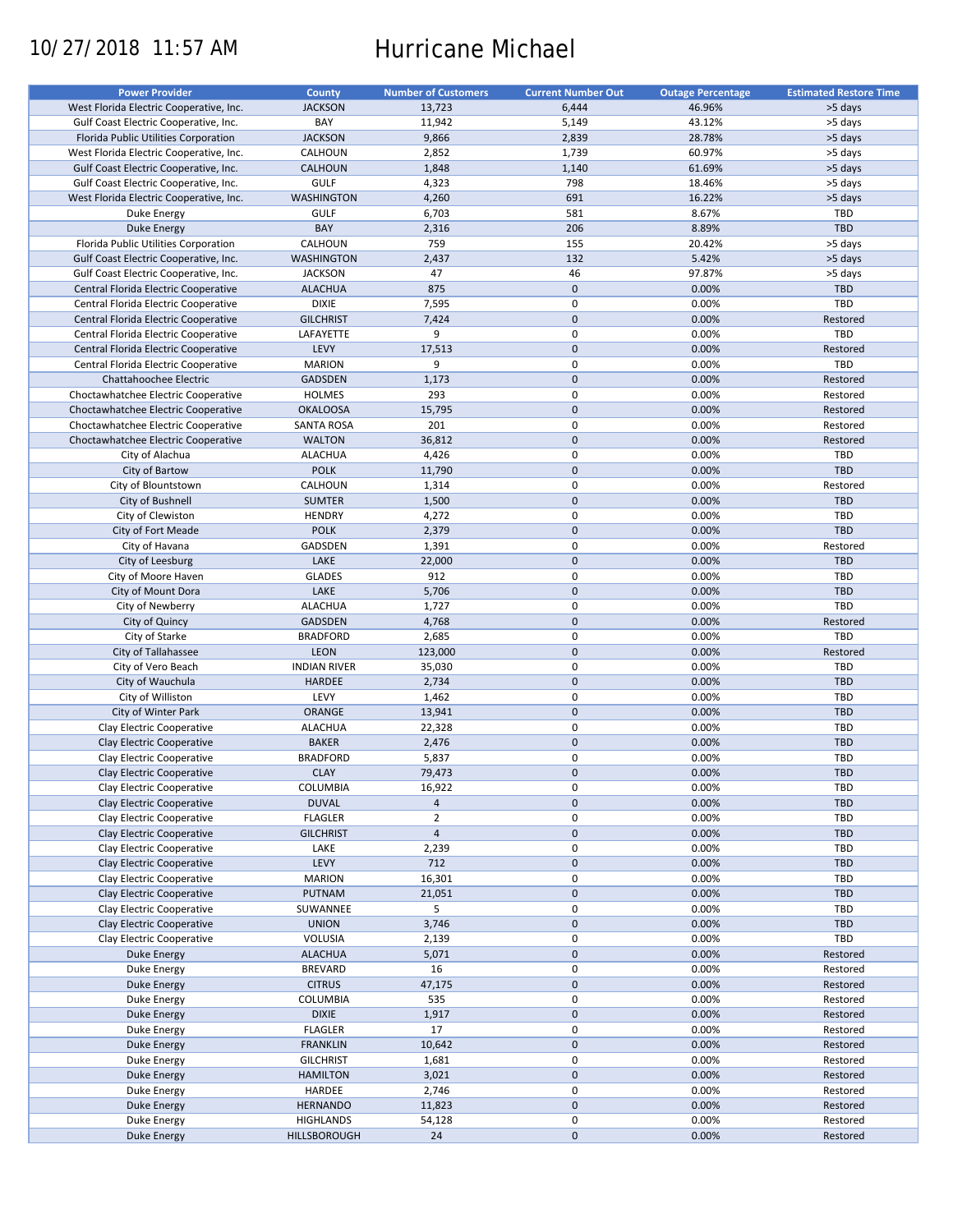# 10/27/2018 11:57 AM Hurricane Michael

| <b>JACKSON</b><br>13,723<br>6,444<br>46.96%<br>>5 days<br>West Florida Electric Cooperative, Inc.<br>Gulf Coast Electric Cooperative, Inc.<br>BAY<br>11,942<br>5,149<br>43.12%<br>>5 days<br><b>JACKSON</b><br>9,866<br>2,839<br>28.78%<br>>5 days<br>Florida Public Utilities Corporation<br>CALHOUN<br>2,852<br>1,739<br>60.97%<br>>5 days<br>West Florida Electric Cooperative, Inc.<br>Gulf Coast Electric Cooperative, Inc.<br><b>CALHOUN</b><br>1,848<br>1,140<br>61.69%<br>>5 days<br>798<br><b>GULF</b><br>4,323<br>18.46%<br>>5 days<br>Gulf Coast Electric Cooperative, Inc.<br>691<br><b>WASHINGTON</b><br>4,260<br>16.22%<br>West Florida Electric Cooperative, Inc.<br>>5 days<br><b>GULF</b><br>6,703<br>581<br>8.67%<br><b>TBD</b><br>Duke Energy<br>BAY<br>206<br>8.89%<br><b>TBD</b><br><b>Duke Energy</b><br>2,316<br>Florida Public Utilities Corporation<br>CALHOUN<br>759<br>155<br>20.42%<br>>5 days<br>132<br>5.42%<br><b>WASHINGTON</b><br>2,437<br>>5 days<br>Gulf Coast Electric Cooperative, Inc.<br>Gulf Coast Electric Cooperative, Inc.<br><b>JACKSON</b><br>47<br>46<br>97.87%<br>>5 days<br>875<br>$\mathbf 0$<br>0.00%<br>Central Florida Electric Cooperative<br><b>ALACHUA</b><br>TBD<br><b>DIXIE</b><br>$\mathbf 0$<br>0.00%<br>Central Florida Electric Cooperative<br>7,595<br>TBD<br>$\mathbf 0$<br><b>GILCHRIST</b><br>7,424<br>0.00%<br>Restored<br>Central Florida Electric Cooperative<br>$\mathsf 0$<br>TBD<br>LAFAYETTE<br>9<br>0.00%<br>Central Florida Electric Cooperative<br>$\mathbf 0$<br>LEVY<br>17,513<br>0.00%<br>Restored<br>Central Florida Electric Cooperative<br>$\mathsf 0$<br>TBD<br>Central Florida Electric Cooperative<br><b>MARION</b><br>9<br>0.00%<br>$\mathbf 0$<br>0.00%<br><b>GADSDEN</b><br>1,173<br>Restored<br>Chattahoochee Electric<br>0<br>293<br>0.00%<br>Restored<br>Choctawhatchee Electric Cooperative<br>HOLMES<br>$\mathbf 0$<br>0.00%<br><b>OKALOOSA</b><br>15,795<br>Restored<br>Choctawhatchee Electric Cooperative<br>201<br>$\mathbf 0$<br>0.00%<br><b>SANTA ROSA</b><br>Restored<br>Choctawhatchee Electric Cooperative<br>$\mathbf 0$<br>Choctawhatchee Electric Cooperative<br><b>WALTON</b><br>36,812<br>0.00%<br>Restored<br>$\mathsf 0$<br><b>ALACHUA</b><br>4,426<br>0.00%<br>TBD<br>City of Alachua<br><b>POLK</b><br>$\mathbf 0$<br>0.00%<br><b>TBD</b><br>City of Bartow<br>11,790<br>$\mathbf 0$<br>CALHOUN<br>1,314<br>0.00%<br>City of Blountstown<br>Restored<br>$\mathbf 0$<br>0.00%<br>City of Bushnell<br><b>SUMTER</b><br>1,500<br><b>TBD</b><br>$\mathsf 0$<br>City of Clewiston<br>4,272<br>0.00%<br>TBD<br><b>HENDRY</b><br>$\mathbf 0$<br>0.00%<br>TBD<br>City of Fort Meade<br><b>POLK</b><br>2,379<br>$\mathsf 0$<br>0.00%<br>GADSDEN<br>1,391<br>Restored<br>City of Havana<br>$\pmb{0}$<br>City of Leesburg<br>LAKE<br>22,000<br>0.00%<br><b>TBD</b><br>912<br>$\mathsf 0$<br>City of Moore Haven<br><b>GLADES</b><br>0.00%<br>TBD<br>$\mathbf 0$<br>LAKE<br>5,706<br>0.00%<br>City of Mount Dora<br>TBD<br>$\mathsf 0$<br>TBD<br><b>ALACHUA</b><br>1,727<br>0.00%<br>City of Newberry<br>$\mathbf 0$<br>0.00%<br>City of Quincy<br><b>GADSDEN</b><br>4,768<br>Restored<br>0<br>TBD<br>City of Starke<br><b>BRADFORD</b><br>2,685<br>0.00%<br>$\mathbf 0$<br>City of Tallahassee<br><b>LEON</b><br>123,000<br>0.00%<br>Restored<br>$\mathsf 0$<br>0.00%<br>City of Vero Beach<br><b>INDIAN RIVER</b><br>35,030<br>TBD<br>$\mathbf 0$<br>City of Wauchula<br>HARDEE<br>2,734<br>0.00%<br><b>TBD</b><br>LEVY<br>$\mathsf 0$<br>0.00%<br>TBD<br>City of Williston<br>1,462<br>$\mathbf 0$<br>City of Winter Park<br>ORANGE<br>13,941<br>0.00%<br><b>TBD</b><br>$\mathsf 0$<br><b>ALACHUA</b><br>22,328<br>0.00%<br>TBD<br>Clay Electric Cooperative<br>$\mathbf 0$<br>Clay Electric Cooperative<br><b>BAKER</b><br>2,476<br>0.00%<br><b>TBD</b><br>Clay Electric Cooperative<br>5,837<br>0<br>0.00%<br><b>TBD</b><br><b>BRADFORD</b><br>$\mathbf 0$<br><b>CLAY</b><br>79,473<br>0.00%<br><b>TBD</b><br>Clay Electric Cooperative<br>0.00%<br>Clay Electric Cooperative<br>COLUMBIA<br>16,922<br>0<br><b>TBD</b><br>$\mathbf 0$<br>Clay Electric Cooperative<br><b>DUVAL</b><br>$\overline{a}$<br>0.00%<br><b>TBD</b><br>$\overline{2}$<br>0<br>0.00%<br>TBD<br>Clay Electric Cooperative<br><b>FLAGLER</b><br>$\overline{4}$<br>$\pmb{0}$<br>Clay Electric Cooperative<br><b>GILCHRIST</b><br>0.00%<br><b>TBD</b><br>$\pmb{0}$<br>0.00%<br>Clay Electric Cooperative<br>LAKE<br>2,239<br><b>TBD</b><br>$\pmb{0}$<br>LEVY<br>712<br>0.00%<br>TBD<br>Clay Electric Cooperative<br>Clay Electric Cooperative<br><b>MARION</b><br>16,301<br>$\mathbf 0$<br>0.00%<br><b>TBD</b><br>$\pmb{0}$<br>Clay Electric Cooperative<br>PUTNAM<br>21,051<br>0.00%<br><b>TBD</b><br>5<br>$\pmb{0}$<br>0.00%<br>Clay Electric Cooperative<br>SUWANNEE<br><b>TBD</b><br>$\pmb{0}$<br>Clay Electric Cooperative<br><b>UNION</b><br>3,746<br>0.00%<br><b>TBD</b><br>$\pmb{0}$<br>0.00%<br>TBD<br>Clay Electric Cooperative<br>VOLUSIA<br>2,139<br>$\pmb{0}$<br><b>ALACHUA</b><br>5,071<br>0.00%<br>Restored<br>Duke Energy<br>$\pmb{0}$<br><b>BREVARD</b><br>16<br>0.00%<br>Restored<br>Duke Energy<br>$\pmb{0}$<br><b>CITRUS</b><br>47,175<br>0.00%<br>Restored<br>Duke Energy<br>COLUMBIA<br>535<br>0<br>0.00%<br>Restored<br>Duke Energy<br>$\pmb{0}$<br>0.00%<br><b>DIXIE</b><br>1,917<br>Restored<br>Duke Energy<br>$\pmb{0}$<br>0.00%<br><b>FLAGLER</b><br>17<br>Restored<br>Duke Energy<br>$\pmb{0}$<br><b>FRANKLIN</b><br>10,642<br>0.00%<br>Restored<br><b>Duke Energy</b><br>0<br>0.00%<br>Duke Energy<br><b>GILCHRIST</b><br>1,681<br>Restored<br>$\pmb{0}$<br>3,021<br>0.00%<br>Duke Energy<br><b>HAMILTON</b><br>Restored<br>$\pmb{0}$<br>HARDEE<br>2,746<br>0.00%<br>Restored<br>Duke Energy<br>$\pmb{0}$<br><b>HERNANDO</b><br>0.00%<br>Restored<br><b>Duke Energy</b><br>11,823<br>0<br>Restored<br>Duke Energy<br><b>HIGHLANDS</b><br>54,128<br>0.00%<br>$\pmb{0}$<br>HILLSBOROUGH<br>24<br>0.00%<br>Restored<br><b>Duke Energy</b> | <b>Power Provider</b> | <b>County</b> | <b>Number of Customers</b> | <b>Current Number Out</b> | <b>Outage Percentage</b> | <b>Estimated Restore Time</b> |
|-----------------------------------------------------------------------------------------------------------------------------------------------------------------------------------------------------------------------------------------------------------------------------------------------------------------------------------------------------------------------------------------------------------------------------------------------------------------------------------------------------------------------------------------------------------------------------------------------------------------------------------------------------------------------------------------------------------------------------------------------------------------------------------------------------------------------------------------------------------------------------------------------------------------------------------------------------------------------------------------------------------------------------------------------------------------------------------------------------------------------------------------------------------------------------------------------------------------------------------------------------------------------------------------------------------------------------------------------------------------------------------------------------------------------------------------------------------------------------------------------------------------------------------------------------------------------------------------------------------------------------------------------------------------------------------------------------------------------------------------------------------------------------------------------------------------------------------------------------------------------------------------------------------------------------------------------------------------------------------------------------------------------------------------------------------------------------------------------------------------------------------------------------------------------------------------------------------------------------------------------------------------------------------------------------------------------------------------------------------------------------------------------------------------------------------------------------------------------------------------------------------------------------------------------------------------------------------------------------------------------------------------------------------------------------------------------------------------------------------------------------------------------------------------------------------------------------------------------------------------------------------------------------------------------------------------------------------------------------------------------------------------------------------------------------------------------------------------------------------------------------------------------------------------------------------------------------------------------------------------------------------------------------------------------------------------------------------------------------------------------------------------------------------------------------------------------------------------------------------------------------------------------------------------------------------------------------------------------------------------------------------------------------------------------------------------------------------------------------------------------------------------------------------------------------------------------------------------------------------------------------------------------------------------------------------------------------------------------------------------------------------------------------------------------------------------------------------------------------------------------------------------------------------------------------------------------------------------------------------------------------------------------------------------------------------------------------------------------------------------------------------------------------------------------------------------------------------------------------------------------------------------------------------------------------------------------------------------------------------------------------------------------------------------------------------------------------------------------------------------------------------------------------------------------------------------------------------------------------------------------------------------------------------------------------------------------------------------------------------------------------------------------------------------------------------------------------------------------------------------------------------------------------------------------------------------------------------------------------------------------------------------------------------------------------------------------------------------------------------------------------------------------------------------------------------------------------------------------------------------------------------------------------------------------------------------------------------------------------------------------------------------------------------------------------------------------------------------------------------------------------------------------------------------------------------------------------------------------------------------------------------------------------------------------------------------------------------------------------------------------------------------------------------------------|-----------------------|---------------|----------------------------|---------------------------|--------------------------|-------------------------------|
|                                                                                                                                                                                                                                                                                                                                                                                                                                                                                                                                                                                                                                                                                                                                                                                                                                                                                                                                                                                                                                                                                                                                                                                                                                                                                                                                                                                                                                                                                                                                                                                                                                                                                                                                                                                                                                                                                                                                                                                                                                                                                                                                                                                                                                                                                                                                                                                                                                                                                                                                                                                                                                                                                                                                                                                                                                                                                                                                                                                                                                                                                                                                                                                                                                                                                                                                                                                                                                                                                                                                                                                                                                                                                                                                                                                                                                                                                                                                                                                                                                                                                                                                                                                                                                                                                                                                                                                                                                                                                                                                                                                                                                                                                                                                                                                                                                                                                                                                                                                                                                                                                                                                                                                                                                                                                                                                                                                                                                                                                                                                                                                                                                                                                                                                                                                                                                                                                                                                                                                                                                               |                       |               |                            |                           |                          |                               |
|                                                                                                                                                                                                                                                                                                                                                                                                                                                                                                                                                                                                                                                                                                                                                                                                                                                                                                                                                                                                                                                                                                                                                                                                                                                                                                                                                                                                                                                                                                                                                                                                                                                                                                                                                                                                                                                                                                                                                                                                                                                                                                                                                                                                                                                                                                                                                                                                                                                                                                                                                                                                                                                                                                                                                                                                                                                                                                                                                                                                                                                                                                                                                                                                                                                                                                                                                                                                                                                                                                                                                                                                                                                                                                                                                                                                                                                                                                                                                                                                                                                                                                                                                                                                                                                                                                                                                                                                                                                                                                                                                                                                                                                                                                                                                                                                                                                                                                                                                                                                                                                                                                                                                                                                                                                                                                                                                                                                                                                                                                                                                                                                                                                                                                                                                                                                                                                                                                                                                                                                                                               |                       |               |                            |                           |                          |                               |
|                                                                                                                                                                                                                                                                                                                                                                                                                                                                                                                                                                                                                                                                                                                                                                                                                                                                                                                                                                                                                                                                                                                                                                                                                                                                                                                                                                                                                                                                                                                                                                                                                                                                                                                                                                                                                                                                                                                                                                                                                                                                                                                                                                                                                                                                                                                                                                                                                                                                                                                                                                                                                                                                                                                                                                                                                                                                                                                                                                                                                                                                                                                                                                                                                                                                                                                                                                                                                                                                                                                                                                                                                                                                                                                                                                                                                                                                                                                                                                                                                                                                                                                                                                                                                                                                                                                                                                                                                                                                                                                                                                                                                                                                                                                                                                                                                                                                                                                                                                                                                                                                                                                                                                                                                                                                                                                                                                                                                                                                                                                                                                                                                                                                                                                                                                                                                                                                                                                                                                                                                                               |                       |               |                            |                           |                          |                               |
|                                                                                                                                                                                                                                                                                                                                                                                                                                                                                                                                                                                                                                                                                                                                                                                                                                                                                                                                                                                                                                                                                                                                                                                                                                                                                                                                                                                                                                                                                                                                                                                                                                                                                                                                                                                                                                                                                                                                                                                                                                                                                                                                                                                                                                                                                                                                                                                                                                                                                                                                                                                                                                                                                                                                                                                                                                                                                                                                                                                                                                                                                                                                                                                                                                                                                                                                                                                                                                                                                                                                                                                                                                                                                                                                                                                                                                                                                                                                                                                                                                                                                                                                                                                                                                                                                                                                                                                                                                                                                                                                                                                                                                                                                                                                                                                                                                                                                                                                                                                                                                                                                                                                                                                                                                                                                                                                                                                                                                                                                                                                                                                                                                                                                                                                                                                                                                                                                                                                                                                                                                               |                       |               |                            |                           |                          |                               |
|                                                                                                                                                                                                                                                                                                                                                                                                                                                                                                                                                                                                                                                                                                                                                                                                                                                                                                                                                                                                                                                                                                                                                                                                                                                                                                                                                                                                                                                                                                                                                                                                                                                                                                                                                                                                                                                                                                                                                                                                                                                                                                                                                                                                                                                                                                                                                                                                                                                                                                                                                                                                                                                                                                                                                                                                                                                                                                                                                                                                                                                                                                                                                                                                                                                                                                                                                                                                                                                                                                                                                                                                                                                                                                                                                                                                                                                                                                                                                                                                                                                                                                                                                                                                                                                                                                                                                                                                                                                                                                                                                                                                                                                                                                                                                                                                                                                                                                                                                                                                                                                                                                                                                                                                                                                                                                                                                                                                                                                                                                                                                                                                                                                                                                                                                                                                                                                                                                                                                                                                                                               |                       |               |                            |                           |                          |                               |
|                                                                                                                                                                                                                                                                                                                                                                                                                                                                                                                                                                                                                                                                                                                                                                                                                                                                                                                                                                                                                                                                                                                                                                                                                                                                                                                                                                                                                                                                                                                                                                                                                                                                                                                                                                                                                                                                                                                                                                                                                                                                                                                                                                                                                                                                                                                                                                                                                                                                                                                                                                                                                                                                                                                                                                                                                                                                                                                                                                                                                                                                                                                                                                                                                                                                                                                                                                                                                                                                                                                                                                                                                                                                                                                                                                                                                                                                                                                                                                                                                                                                                                                                                                                                                                                                                                                                                                                                                                                                                                                                                                                                                                                                                                                                                                                                                                                                                                                                                                                                                                                                                                                                                                                                                                                                                                                                                                                                                                                                                                                                                                                                                                                                                                                                                                                                                                                                                                                                                                                                                                               |                       |               |                            |                           |                          |                               |
|                                                                                                                                                                                                                                                                                                                                                                                                                                                                                                                                                                                                                                                                                                                                                                                                                                                                                                                                                                                                                                                                                                                                                                                                                                                                                                                                                                                                                                                                                                                                                                                                                                                                                                                                                                                                                                                                                                                                                                                                                                                                                                                                                                                                                                                                                                                                                                                                                                                                                                                                                                                                                                                                                                                                                                                                                                                                                                                                                                                                                                                                                                                                                                                                                                                                                                                                                                                                                                                                                                                                                                                                                                                                                                                                                                                                                                                                                                                                                                                                                                                                                                                                                                                                                                                                                                                                                                                                                                                                                                                                                                                                                                                                                                                                                                                                                                                                                                                                                                                                                                                                                                                                                                                                                                                                                                                                                                                                                                                                                                                                                                                                                                                                                                                                                                                                                                                                                                                                                                                                                                               |                       |               |                            |                           |                          |                               |
|                                                                                                                                                                                                                                                                                                                                                                                                                                                                                                                                                                                                                                                                                                                                                                                                                                                                                                                                                                                                                                                                                                                                                                                                                                                                                                                                                                                                                                                                                                                                                                                                                                                                                                                                                                                                                                                                                                                                                                                                                                                                                                                                                                                                                                                                                                                                                                                                                                                                                                                                                                                                                                                                                                                                                                                                                                                                                                                                                                                                                                                                                                                                                                                                                                                                                                                                                                                                                                                                                                                                                                                                                                                                                                                                                                                                                                                                                                                                                                                                                                                                                                                                                                                                                                                                                                                                                                                                                                                                                                                                                                                                                                                                                                                                                                                                                                                                                                                                                                                                                                                                                                                                                                                                                                                                                                                                                                                                                                                                                                                                                                                                                                                                                                                                                                                                                                                                                                                                                                                                                                               |                       |               |                            |                           |                          |                               |
|                                                                                                                                                                                                                                                                                                                                                                                                                                                                                                                                                                                                                                                                                                                                                                                                                                                                                                                                                                                                                                                                                                                                                                                                                                                                                                                                                                                                                                                                                                                                                                                                                                                                                                                                                                                                                                                                                                                                                                                                                                                                                                                                                                                                                                                                                                                                                                                                                                                                                                                                                                                                                                                                                                                                                                                                                                                                                                                                                                                                                                                                                                                                                                                                                                                                                                                                                                                                                                                                                                                                                                                                                                                                                                                                                                                                                                                                                                                                                                                                                                                                                                                                                                                                                                                                                                                                                                                                                                                                                                                                                                                                                                                                                                                                                                                                                                                                                                                                                                                                                                                                                                                                                                                                                                                                                                                                                                                                                                                                                                                                                                                                                                                                                                                                                                                                                                                                                                                                                                                                                                               |                       |               |                            |                           |                          |                               |
|                                                                                                                                                                                                                                                                                                                                                                                                                                                                                                                                                                                                                                                                                                                                                                                                                                                                                                                                                                                                                                                                                                                                                                                                                                                                                                                                                                                                                                                                                                                                                                                                                                                                                                                                                                                                                                                                                                                                                                                                                                                                                                                                                                                                                                                                                                                                                                                                                                                                                                                                                                                                                                                                                                                                                                                                                                                                                                                                                                                                                                                                                                                                                                                                                                                                                                                                                                                                                                                                                                                                                                                                                                                                                                                                                                                                                                                                                                                                                                                                                                                                                                                                                                                                                                                                                                                                                                                                                                                                                                                                                                                                                                                                                                                                                                                                                                                                                                                                                                                                                                                                                                                                                                                                                                                                                                                                                                                                                                                                                                                                                                                                                                                                                                                                                                                                                                                                                                                                                                                                                                               |                       |               |                            |                           |                          |                               |
|                                                                                                                                                                                                                                                                                                                                                                                                                                                                                                                                                                                                                                                                                                                                                                                                                                                                                                                                                                                                                                                                                                                                                                                                                                                                                                                                                                                                                                                                                                                                                                                                                                                                                                                                                                                                                                                                                                                                                                                                                                                                                                                                                                                                                                                                                                                                                                                                                                                                                                                                                                                                                                                                                                                                                                                                                                                                                                                                                                                                                                                                                                                                                                                                                                                                                                                                                                                                                                                                                                                                                                                                                                                                                                                                                                                                                                                                                                                                                                                                                                                                                                                                                                                                                                                                                                                                                                                                                                                                                                                                                                                                                                                                                                                                                                                                                                                                                                                                                                                                                                                                                                                                                                                                                                                                                                                                                                                                                                                                                                                                                                                                                                                                                                                                                                                                                                                                                                                                                                                                                                               |                       |               |                            |                           |                          |                               |
|                                                                                                                                                                                                                                                                                                                                                                                                                                                                                                                                                                                                                                                                                                                                                                                                                                                                                                                                                                                                                                                                                                                                                                                                                                                                                                                                                                                                                                                                                                                                                                                                                                                                                                                                                                                                                                                                                                                                                                                                                                                                                                                                                                                                                                                                                                                                                                                                                                                                                                                                                                                                                                                                                                                                                                                                                                                                                                                                                                                                                                                                                                                                                                                                                                                                                                                                                                                                                                                                                                                                                                                                                                                                                                                                                                                                                                                                                                                                                                                                                                                                                                                                                                                                                                                                                                                                                                                                                                                                                                                                                                                                                                                                                                                                                                                                                                                                                                                                                                                                                                                                                                                                                                                                                                                                                                                                                                                                                                                                                                                                                                                                                                                                                                                                                                                                                                                                                                                                                                                                                                               |                       |               |                            |                           |                          |                               |
|                                                                                                                                                                                                                                                                                                                                                                                                                                                                                                                                                                                                                                                                                                                                                                                                                                                                                                                                                                                                                                                                                                                                                                                                                                                                                                                                                                                                                                                                                                                                                                                                                                                                                                                                                                                                                                                                                                                                                                                                                                                                                                                                                                                                                                                                                                                                                                                                                                                                                                                                                                                                                                                                                                                                                                                                                                                                                                                                                                                                                                                                                                                                                                                                                                                                                                                                                                                                                                                                                                                                                                                                                                                                                                                                                                                                                                                                                                                                                                                                                                                                                                                                                                                                                                                                                                                                                                                                                                                                                                                                                                                                                                                                                                                                                                                                                                                                                                                                                                                                                                                                                                                                                                                                                                                                                                                                                                                                                                                                                                                                                                                                                                                                                                                                                                                                                                                                                                                                                                                                                                               |                       |               |                            |                           |                          |                               |
|                                                                                                                                                                                                                                                                                                                                                                                                                                                                                                                                                                                                                                                                                                                                                                                                                                                                                                                                                                                                                                                                                                                                                                                                                                                                                                                                                                                                                                                                                                                                                                                                                                                                                                                                                                                                                                                                                                                                                                                                                                                                                                                                                                                                                                                                                                                                                                                                                                                                                                                                                                                                                                                                                                                                                                                                                                                                                                                                                                                                                                                                                                                                                                                                                                                                                                                                                                                                                                                                                                                                                                                                                                                                                                                                                                                                                                                                                                                                                                                                                                                                                                                                                                                                                                                                                                                                                                                                                                                                                                                                                                                                                                                                                                                                                                                                                                                                                                                                                                                                                                                                                                                                                                                                                                                                                                                                                                                                                                                                                                                                                                                                                                                                                                                                                                                                                                                                                                                                                                                                                                               |                       |               |                            |                           |                          |                               |
|                                                                                                                                                                                                                                                                                                                                                                                                                                                                                                                                                                                                                                                                                                                                                                                                                                                                                                                                                                                                                                                                                                                                                                                                                                                                                                                                                                                                                                                                                                                                                                                                                                                                                                                                                                                                                                                                                                                                                                                                                                                                                                                                                                                                                                                                                                                                                                                                                                                                                                                                                                                                                                                                                                                                                                                                                                                                                                                                                                                                                                                                                                                                                                                                                                                                                                                                                                                                                                                                                                                                                                                                                                                                                                                                                                                                                                                                                                                                                                                                                                                                                                                                                                                                                                                                                                                                                                                                                                                                                                                                                                                                                                                                                                                                                                                                                                                                                                                                                                                                                                                                                                                                                                                                                                                                                                                                                                                                                                                                                                                                                                                                                                                                                                                                                                                                                                                                                                                                                                                                                                               |                       |               |                            |                           |                          |                               |
|                                                                                                                                                                                                                                                                                                                                                                                                                                                                                                                                                                                                                                                                                                                                                                                                                                                                                                                                                                                                                                                                                                                                                                                                                                                                                                                                                                                                                                                                                                                                                                                                                                                                                                                                                                                                                                                                                                                                                                                                                                                                                                                                                                                                                                                                                                                                                                                                                                                                                                                                                                                                                                                                                                                                                                                                                                                                                                                                                                                                                                                                                                                                                                                                                                                                                                                                                                                                                                                                                                                                                                                                                                                                                                                                                                                                                                                                                                                                                                                                                                                                                                                                                                                                                                                                                                                                                                                                                                                                                                                                                                                                                                                                                                                                                                                                                                                                                                                                                                                                                                                                                                                                                                                                                                                                                                                                                                                                                                                                                                                                                                                                                                                                                                                                                                                                                                                                                                                                                                                                                                               |                       |               |                            |                           |                          |                               |
|                                                                                                                                                                                                                                                                                                                                                                                                                                                                                                                                                                                                                                                                                                                                                                                                                                                                                                                                                                                                                                                                                                                                                                                                                                                                                                                                                                                                                                                                                                                                                                                                                                                                                                                                                                                                                                                                                                                                                                                                                                                                                                                                                                                                                                                                                                                                                                                                                                                                                                                                                                                                                                                                                                                                                                                                                                                                                                                                                                                                                                                                                                                                                                                                                                                                                                                                                                                                                                                                                                                                                                                                                                                                                                                                                                                                                                                                                                                                                                                                                                                                                                                                                                                                                                                                                                                                                                                                                                                                                                                                                                                                                                                                                                                                                                                                                                                                                                                                                                                                                                                                                                                                                                                                                                                                                                                                                                                                                                                                                                                                                                                                                                                                                                                                                                                                                                                                                                                                                                                                                                               |                       |               |                            |                           |                          |                               |
|                                                                                                                                                                                                                                                                                                                                                                                                                                                                                                                                                                                                                                                                                                                                                                                                                                                                                                                                                                                                                                                                                                                                                                                                                                                                                                                                                                                                                                                                                                                                                                                                                                                                                                                                                                                                                                                                                                                                                                                                                                                                                                                                                                                                                                                                                                                                                                                                                                                                                                                                                                                                                                                                                                                                                                                                                                                                                                                                                                                                                                                                                                                                                                                                                                                                                                                                                                                                                                                                                                                                                                                                                                                                                                                                                                                                                                                                                                                                                                                                                                                                                                                                                                                                                                                                                                                                                                                                                                                                                                                                                                                                                                                                                                                                                                                                                                                                                                                                                                                                                                                                                                                                                                                                                                                                                                                                                                                                                                                                                                                                                                                                                                                                                                                                                                                                                                                                                                                                                                                                                                               |                       |               |                            |                           |                          |                               |
|                                                                                                                                                                                                                                                                                                                                                                                                                                                                                                                                                                                                                                                                                                                                                                                                                                                                                                                                                                                                                                                                                                                                                                                                                                                                                                                                                                                                                                                                                                                                                                                                                                                                                                                                                                                                                                                                                                                                                                                                                                                                                                                                                                                                                                                                                                                                                                                                                                                                                                                                                                                                                                                                                                                                                                                                                                                                                                                                                                                                                                                                                                                                                                                                                                                                                                                                                                                                                                                                                                                                                                                                                                                                                                                                                                                                                                                                                                                                                                                                                                                                                                                                                                                                                                                                                                                                                                                                                                                                                                                                                                                                                                                                                                                                                                                                                                                                                                                                                                                                                                                                                                                                                                                                                                                                                                                                                                                                                                                                                                                                                                                                                                                                                                                                                                                                                                                                                                                                                                                                                                               |                       |               |                            |                           |                          |                               |
|                                                                                                                                                                                                                                                                                                                                                                                                                                                                                                                                                                                                                                                                                                                                                                                                                                                                                                                                                                                                                                                                                                                                                                                                                                                                                                                                                                                                                                                                                                                                                                                                                                                                                                                                                                                                                                                                                                                                                                                                                                                                                                                                                                                                                                                                                                                                                                                                                                                                                                                                                                                                                                                                                                                                                                                                                                                                                                                                                                                                                                                                                                                                                                                                                                                                                                                                                                                                                                                                                                                                                                                                                                                                                                                                                                                                                                                                                                                                                                                                                                                                                                                                                                                                                                                                                                                                                                                                                                                                                                                                                                                                                                                                                                                                                                                                                                                                                                                                                                                                                                                                                                                                                                                                                                                                                                                                                                                                                                                                                                                                                                                                                                                                                                                                                                                                                                                                                                                                                                                                                                               |                       |               |                            |                           |                          |                               |
|                                                                                                                                                                                                                                                                                                                                                                                                                                                                                                                                                                                                                                                                                                                                                                                                                                                                                                                                                                                                                                                                                                                                                                                                                                                                                                                                                                                                                                                                                                                                                                                                                                                                                                                                                                                                                                                                                                                                                                                                                                                                                                                                                                                                                                                                                                                                                                                                                                                                                                                                                                                                                                                                                                                                                                                                                                                                                                                                                                                                                                                                                                                                                                                                                                                                                                                                                                                                                                                                                                                                                                                                                                                                                                                                                                                                                                                                                                                                                                                                                                                                                                                                                                                                                                                                                                                                                                                                                                                                                                                                                                                                                                                                                                                                                                                                                                                                                                                                                                                                                                                                                                                                                                                                                                                                                                                                                                                                                                                                                                                                                                                                                                                                                                                                                                                                                                                                                                                                                                                                                                               |                       |               |                            |                           |                          |                               |
|                                                                                                                                                                                                                                                                                                                                                                                                                                                                                                                                                                                                                                                                                                                                                                                                                                                                                                                                                                                                                                                                                                                                                                                                                                                                                                                                                                                                                                                                                                                                                                                                                                                                                                                                                                                                                                                                                                                                                                                                                                                                                                                                                                                                                                                                                                                                                                                                                                                                                                                                                                                                                                                                                                                                                                                                                                                                                                                                                                                                                                                                                                                                                                                                                                                                                                                                                                                                                                                                                                                                                                                                                                                                                                                                                                                                                                                                                                                                                                                                                                                                                                                                                                                                                                                                                                                                                                                                                                                                                                                                                                                                                                                                                                                                                                                                                                                                                                                                                                                                                                                                                                                                                                                                                                                                                                                                                                                                                                                                                                                                                                                                                                                                                                                                                                                                                                                                                                                                                                                                                                               |                       |               |                            |                           |                          |                               |
|                                                                                                                                                                                                                                                                                                                                                                                                                                                                                                                                                                                                                                                                                                                                                                                                                                                                                                                                                                                                                                                                                                                                                                                                                                                                                                                                                                                                                                                                                                                                                                                                                                                                                                                                                                                                                                                                                                                                                                                                                                                                                                                                                                                                                                                                                                                                                                                                                                                                                                                                                                                                                                                                                                                                                                                                                                                                                                                                                                                                                                                                                                                                                                                                                                                                                                                                                                                                                                                                                                                                                                                                                                                                                                                                                                                                                                                                                                                                                                                                                                                                                                                                                                                                                                                                                                                                                                                                                                                                                                                                                                                                                                                                                                                                                                                                                                                                                                                                                                                                                                                                                                                                                                                                                                                                                                                                                                                                                                                                                                                                                                                                                                                                                                                                                                                                                                                                                                                                                                                                                                               |                       |               |                            |                           |                          |                               |
|                                                                                                                                                                                                                                                                                                                                                                                                                                                                                                                                                                                                                                                                                                                                                                                                                                                                                                                                                                                                                                                                                                                                                                                                                                                                                                                                                                                                                                                                                                                                                                                                                                                                                                                                                                                                                                                                                                                                                                                                                                                                                                                                                                                                                                                                                                                                                                                                                                                                                                                                                                                                                                                                                                                                                                                                                                                                                                                                                                                                                                                                                                                                                                                                                                                                                                                                                                                                                                                                                                                                                                                                                                                                                                                                                                                                                                                                                                                                                                                                                                                                                                                                                                                                                                                                                                                                                                                                                                                                                                                                                                                                                                                                                                                                                                                                                                                                                                                                                                                                                                                                                                                                                                                                                                                                                                                                                                                                                                                                                                                                                                                                                                                                                                                                                                                                                                                                                                                                                                                                                                               |                       |               |                            |                           |                          |                               |
|                                                                                                                                                                                                                                                                                                                                                                                                                                                                                                                                                                                                                                                                                                                                                                                                                                                                                                                                                                                                                                                                                                                                                                                                                                                                                                                                                                                                                                                                                                                                                                                                                                                                                                                                                                                                                                                                                                                                                                                                                                                                                                                                                                                                                                                                                                                                                                                                                                                                                                                                                                                                                                                                                                                                                                                                                                                                                                                                                                                                                                                                                                                                                                                                                                                                                                                                                                                                                                                                                                                                                                                                                                                                                                                                                                                                                                                                                                                                                                                                                                                                                                                                                                                                                                                                                                                                                                                                                                                                                                                                                                                                                                                                                                                                                                                                                                                                                                                                                                                                                                                                                                                                                                                                                                                                                                                                                                                                                                                                                                                                                                                                                                                                                                                                                                                                                                                                                                                                                                                                                                               |                       |               |                            |                           |                          |                               |
|                                                                                                                                                                                                                                                                                                                                                                                                                                                                                                                                                                                                                                                                                                                                                                                                                                                                                                                                                                                                                                                                                                                                                                                                                                                                                                                                                                                                                                                                                                                                                                                                                                                                                                                                                                                                                                                                                                                                                                                                                                                                                                                                                                                                                                                                                                                                                                                                                                                                                                                                                                                                                                                                                                                                                                                                                                                                                                                                                                                                                                                                                                                                                                                                                                                                                                                                                                                                                                                                                                                                                                                                                                                                                                                                                                                                                                                                                                                                                                                                                                                                                                                                                                                                                                                                                                                                                                                                                                                                                                                                                                                                                                                                                                                                                                                                                                                                                                                                                                                                                                                                                                                                                                                                                                                                                                                                                                                                                                                                                                                                                                                                                                                                                                                                                                                                                                                                                                                                                                                                                                               |                       |               |                            |                           |                          |                               |
|                                                                                                                                                                                                                                                                                                                                                                                                                                                                                                                                                                                                                                                                                                                                                                                                                                                                                                                                                                                                                                                                                                                                                                                                                                                                                                                                                                                                                                                                                                                                                                                                                                                                                                                                                                                                                                                                                                                                                                                                                                                                                                                                                                                                                                                                                                                                                                                                                                                                                                                                                                                                                                                                                                                                                                                                                                                                                                                                                                                                                                                                                                                                                                                                                                                                                                                                                                                                                                                                                                                                                                                                                                                                                                                                                                                                                                                                                                                                                                                                                                                                                                                                                                                                                                                                                                                                                                                                                                                                                                                                                                                                                                                                                                                                                                                                                                                                                                                                                                                                                                                                                                                                                                                                                                                                                                                                                                                                                                                                                                                                                                                                                                                                                                                                                                                                                                                                                                                                                                                                                                               |                       |               |                            |                           |                          |                               |
|                                                                                                                                                                                                                                                                                                                                                                                                                                                                                                                                                                                                                                                                                                                                                                                                                                                                                                                                                                                                                                                                                                                                                                                                                                                                                                                                                                                                                                                                                                                                                                                                                                                                                                                                                                                                                                                                                                                                                                                                                                                                                                                                                                                                                                                                                                                                                                                                                                                                                                                                                                                                                                                                                                                                                                                                                                                                                                                                                                                                                                                                                                                                                                                                                                                                                                                                                                                                                                                                                                                                                                                                                                                                                                                                                                                                                                                                                                                                                                                                                                                                                                                                                                                                                                                                                                                                                                                                                                                                                                                                                                                                                                                                                                                                                                                                                                                                                                                                                                                                                                                                                                                                                                                                                                                                                                                                                                                                                                                                                                                                                                                                                                                                                                                                                                                                                                                                                                                                                                                                                                               |                       |               |                            |                           |                          |                               |
|                                                                                                                                                                                                                                                                                                                                                                                                                                                                                                                                                                                                                                                                                                                                                                                                                                                                                                                                                                                                                                                                                                                                                                                                                                                                                                                                                                                                                                                                                                                                                                                                                                                                                                                                                                                                                                                                                                                                                                                                                                                                                                                                                                                                                                                                                                                                                                                                                                                                                                                                                                                                                                                                                                                                                                                                                                                                                                                                                                                                                                                                                                                                                                                                                                                                                                                                                                                                                                                                                                                                                                                                                                                                                                                                                                                                                                                                                                                                                                                                                                                                                                                                                                                                                                                                                                                                                                                                                                                                                                                                                                                                                                                                                                                                                                                                                                                                                                                                                                                                                                                                                                                                                                                                                                                                                                                                                                                                                                                                                                                                                                                                                                                                                                                                                                                                                                                                                                                                                                                                                                               |                       |               |                            |                           |                          |                               |
|                                                                                                                                                                                                                                                                                                                                                                                                                                                                                                                                                                                                                                                                                                                                                                                                                                                                                                                                                                                                                                                                                                                                                                                                                                                                                                                                                                                                                                                                                                                                                                                                                                                                                                                                                                                                                                                                                                                                                                                                                                                                                                                                                                                                                                                                                                                                                                                                                                                                                                                                                                                                                                                                                                                                                                                                                                                                                                                                                                                                                                                                                                                                                                                                                                                                                                                                                                                                                                                                                                                                                                                                                                                                                                                                                                                                                                                                                                                                                                                                                                                                                                                                                                                                                                                                                                                                                                                                                                                                                                                                                                                                                                                                                                                                                                                                                                                                                                                                                                                                                                                                                                                                                                                                                                                                                                                                                                                                                                                                                                                                                                                                                                                                                                                                                                                                                                                                                                                                                                                                                                               |                       |               |                            |                           |                          |                               |
|                                                                                                                                                                                                                                                                                                                                                                                                                                                                                                                                                                                                                                                                                                                                                                                                                                                                                                                                                                                                                                                                                                                                                                                                                                                                                                                                                                                                                                                                                                                                                                                                                                                                                                                                                                                                                                                                                                                                                                                                                                                                                                                                                                                                                                                                                                                                                                                                                                                                                                                                                                                                                                                                                                                                                                                                                                                                                                                                                                                                                                                                                                                                                                                                                                                                                                                                                                                                                                                                                                                                                                                                                                                                                                                                                                                                                                                                                                                                                                                                                                                                                                                                                                                                                                                                                                                                                                                                                                                                                                                                                                                                                                                                                                                                                                                                                                                                                                                                                                                                                                                                                                                                                                                                                                                                                                                                                                                                                                                                                                                                                                                                                                                                                                                                                                                                                                                                                                                                                                                                                                               |                       |               |                            |                           |                          |                               |
|                                                                                                                                                                                                                                                                                                                                                                                                                                                                                                                                                                                                                                                                                                                                                                                                                                                                                                                                                                                                                                                                                                                                                                                                                                                                                                                                                                                                                                                                                                                                                                                                                                                                                                                                                                                                                                                                                                                                                                                                                                                                                                                                                                                                                                                                                                                                                                                                                                                                                                                                                                                                                                                                                                                                                                                                                                                                                                                                                                                                                                                                                                                                                                                                                                                                                                                                                                                                                                                                                                                                                                                                                                                                                                                                                                                                                                                                                                                                                                                                                                                                                                                                                                                                                                                                                                                                                                                                                                                                                                                                                                                                                                                                                                                                                                                                                                                                                                                                                                                                                                                                                                                                                                                                                                                                                                                                                                                                                                                                                                                                                                                                                                                                                                                                                                                                                                                                                                                                                                                                                                               |                       |               |                            |                           |                          |                               |
|                                                                                                                                                                                                                                                                                                                                                                                                                                                                                                                                                                                                                                                                                                                                                                                                                                                                                                                                                                                                                                                                                                                                                                                                                                                                                                                                                                                                                                                                                                                                                                                                                                                                                                                                                                                                                                                                                                                                                                                                                                                                                                                                                                                                                                                                                                                                                                                                                                                                                                                                                                                                                                                                                                                                                                                                                                                                                                                                                                                                                                                                                                                                                                                                                                                                                                                                                                                                                                                                                                                                                                                                                                                                                                                                                                                                                                                                                                                                                                                                                                                                                                                                                                                                                                                                                                                                                                                                                                                                                                                                                                                                                                                                                                                                                                                                                                                                                                                                                                                                                                                                                                                                                                                                                                                                                                                                                                                                                                                                                                                                                                                                                                                                                                                                                                                                                                                                                                                                                                                                                                               |                       |               |                            |                           |                          |                               |
|                                                                                                                                                                                                                                                                                                                                                                                                                                                                                                                                                                                                                                                                                                                                                                                                                                                                                                                                                                                                                                                                                                                                                                                                                                                                                                                                                                                                                                                                                                                                                                                                                                                                                                                                                                                                                                                                                                                                                                                                                                                                                                                                                                                                                                                                                                                                                                                                                                                                                                                                                                                                                                                                                                                                                                                                                                                                                                                                                                                                                                                                                                                                                                                                                                                                                                                                                                                                                                                                                                                                                                                                                                                                                                                                                                                                                                                                                                                                                                                                                                                                                                                                                                                                                                                                                                                                                                                                                                                                                                                                                                                                                                                                                                                                                                                                                                                                                                                                                                                                                                                                                                                                                                                                                                                                                                                                                                                                                                                                                                                                                                                                                                                                                                                                                                                                                                                                                                                                                                                                                                               |                       |               |                            |                           |                          |                               |
|                                                                                                                                                                                                                                                                                                                                                                                                                                                                                                                                                                                                                                                                                                                                                                                                                                                                                                                                                                                                                                                                                                                                                                                                                                                                                                                                                                                                                                                                                                                                                                                                                                                                                                                                                                                                                                                                                                                                                                                                                                                                                                                                                                                                                                                                                                                                                                                                                                                                                                                                                                                                                                                                                                                                                                                                                                                                                                                                                                                                                                                                                                                                                                                                                                                                                                                                                                                                                                                                                                                                                                                                                                                                                                                                                                                                                                                                                                                                                                                                                                                                                                                                                                                                                                                                                                                                                                                                                                                                                                                                                                                                                                                                                                                                                                                                                                                                                                                                                                                                                                                                                                                                                                                                                                                                                                                                                                                                                                                                                                                                                                                                                                                                                                                                                                                                                                                                                                                                                                                                                                               |                       |               |                            |                           |                          |                               |
|                                                                                                                                                                                                                                                                                                                                                                                                                                                                                                                                                                                                                                                                                                                                                                                                                                                                                                                                                                                                                                                                                                                                                                                                                                                                                                                                                                                                                                                                                                                                                                                                                                                                                                                                                                                                                                                                                                                                                                                                                                                                                                                                                                                                                                                                                                                                                                                                                                                                                                                                                                                                                                                                                                                                                                                                                                                                                                                                                                                                                                                                                                                                                                                                                                                                                                                                                                                                                                                                                                                                                                                                                                                                                                                                                                                                                                                                                                                                                                                                                                                                                                                                                                                                                                                                                                                                                                                                                                                                                                                                                                                                                                                                                                                                                                                                                                                                                                                                                                                                                                                                                                                                                                                                                                                                                                                                                                                                                                                                                                                                                                                                                                                                                                                                                                                                                                                                                                                                                                                                                                               |                       |               |                            |                           |                          |                               |
|                                                                                                                                                                                                                                                                                                                                                                                                                                                                                                                                                                                                                                                                                                                                                                                                                                                                                                                                                                                                                                                                                                                                                                                                                                                                                                                                                                                                                                                                                                                                                                                                                                                                                                                                                                                                                                                                                                                                                                                                                                                                                                                                                                                                                                                                                                                                                                                                                                                                                                                                                                                                                                                                                                                                                                                                                                                                                                                                                                                                                                                                                                                                                                                                                                                                                                                                                                                                                                                                                                                                                                                                                                                                                                                                                                                                                                                                                                                                                                                                                                                                                                                                                                                                                                                                                                                                                                                                                                                                                                                                                                                                                                                                                                                                                                                                                                                                                                                                                                                                                                                                                                                                                                                                                                                                                                                                                                                                                                                                                                                                                                                                                                                                                                                                                                                                                                                                                                                                                                                                                                               |                       |               |                            |                           |                          |                               |
|                                                                                                                                                                                                                                                                                                                                                                                                                                                                                                                                                                                                                                                                                                                                                                                                                                                                                                                                                                                                                                                                                                                                                                                                                                                                                                                                                                                                                                                                                                                                                                                                                                                                                                                                                                                                                                                                                                                                                                                                                                                                                                                                                                                                                                                                                                                                                                                                                                                                                                                                                                                                                                                                                                                                                                                                                                                                                                                                                                                                                                                                                                                                                                                                                                                                                                                                                                                                                                                                                                                                                                                                                                                                                                                                                                                                                                                                                                                                                                                                                                                                                                                                                                                                                                                                                                                                                                                                                                                                                                                                                                                                                                                                                                                                                                                                                                                                                                                                                                                                                                                                                                                                                                                                                                                                                                                                                                                                                                                                                                                                                                                                                                                                                                                                                                                                                                                                                                                                                                                                                                               |                       |               |                            |                           |                          |                               |
|                                                                                                                                                                                                                                                                                                                                                                                                                                                                                                                                                                                                                                                                                                                                                                                                                                                                                                                                                                                                                                                                                                                                                                                                                                                                                                                                                                                                                                                                                                                                                                                                                                                                                                                                                                                                                                                                                                                                                                                                                                                                                                                                                                                                                                                                                                                                                                                                                                                                                                                                                                                                                                                                                                                                                                                                                                                                                                                                                                                                                                                                                                                                                                                                                                                                                                                                                                                                                                                                                                                                                                                                                                                                                                                                                                                                                                                                                                                                                                                                                                                                                                                                                                                                                                                                                                                                                                                                                                                                                                                                                                                                                                                                                                                                                                                                                                                                                                                                                                                                                                                                                                                                                                                                                                                                                                                                                                                                                                                                                                                                                                                                                                                                                                                                                                                                                                                                                                                                                                                                                                               |                       |               |                            |                           |                          |                               |
|                                                                                                                                                                                                                                                                                                                                                                                                                                                                                                                                                                                                                                                                                                                                                                                                                                                                                                                                                                                                                                                                                                                                                                                                                                                                                                                                                                                                                                                                                                                                                                                                                                                                                                                                                                                                                                                                                                                                                                                                                                                                                                                                                                                                                                                                                                                                                                                                                                                                                                                                                                                                                                                                                                                                                                                                                                                                                                                                                                                                                                                                                                                                                                                                                                                                                                                                                                                                                                                                                                                                                                                                                                                                                                                                                                                                                                                                                                                                                                                                                                                                                                                                                                                                                                                                                                                                                                                                                                                                                                                                                                                                                                                                                                                                                                                                                                                                                                                                                                                                                                                                                                                                                                                                                                                                                                                                                                                                                                                                                                                                                                                                                                                                                                                                                                                                                                                                                                                                                                                                                                               |                       |               |                            |                           |                          |                               |
|                                                                                                                                                                                                                                                                                                                                                                                                                                                                                                                                                                                                                                                                                                                                                                                                                                                                                                                                                                                                                                                                                                                                                                                                                                                                                                                                                                                                                                                                                                                                                                                                                                                                                                                                                                                                                                                                                                                                                                                                                                                                                                                                                                                                                                                                                                                                                                                                                                                                                                                                                                                                                                                                                                                                                                                                                                                                                                                                                                                                                                                                                                                                                                                                                                                                                                                                                                                                                                                                                                                                                                                                                                                                                                                                                                                                                                                                                                                                                                                                                                                                                                                                                                                                                                                                                                                                                                                                                                                                                                                                                                                                                                                                                                                                                                                                                                                                                                                                                                                                                                                                                                                                                                                                                                                                                                                                                                                                                                                                                                                                                                                                                                                                                                                                                                                                                                                                                                                                                                                                                                               |                       |               |                            |                           |                          |                               |
|                                                                                                                                                                                                                                                                                                                                                                                                                                                                                                                                                                                                                                                                                                                                                                                                                                                                                                                                                                                                                                                                                                                                                                                                                                                                                                                                                                                                                                                                                                                                                                                                                                                                                                                                                                                                                                                                                                                                                                                                                                                                                                                                                                                                                                                                                                                                                                                                                                                                                                                                                                                                                                                                                                                                                                                                                                                                                                                                                                                                                                                                                                                                                                                                                                                                                                                                                                                                                                                                                                                                                                                                                                                                                                                                                                                                                                                                                                                                                                                                                                                                                                                                                                                                                                                                                                                                                                                                                                                                                                                                                                                                                                                                                                                                                                                                                                                                                                                                                                                                                                                                                                                                                                                                                                                                                                                                                                                                                                                                                                                                                                                                                                                                                                                                                                                                                                                                                                                                                                                                                                               |                       |               |                            |                           |                          |                               |
|                                                                                                                                                                                                                                                                                                                                                                                                                                                                                                                                                                                                                                                                                                                                                                                                                                                                                                                                                                                                                                                                                                                                                                                                                                                                                                                                                                                                                                                                                                                                                                                                                                                                                                                                                                                                                                                                                                                                                                                                                                                                                                                                                                                                                                                                                                                                                                                                                                                                                                                                                                                                                                                                                                                                                                                                                                                                                                                                                                                                                                                                                                                                                                                                                                                                                                                                                                                                                                                                                                                                                                                                                                                                                                                                                                                                                                                                                                                                                                                                                                                                                                                                                                                                                                                                                                                                                                                                                                                                                                                                                                                                                                                                                                                                                                                                                                                                                                                                                                                                                                                                                                                                                                                                                                                                                                                                                                                                                                                                                                                                                                                                                                                                                                                                                                                                                                                                                                                                                                                                                                               |                       |               |                            |                           |                          |                               |
|                                                                                                                                                                                                                                                                                                                                                                                                                                                                                                                                                                                                                                                                                                                                                                                                                                                                                                                                                                                                                                                                                                                                                                                                                                                                                                                                                                                                                                                                                                                                                                                                                                                                                                                                                                                                                                                                                                                                                                                                                                                                                                                                                                                                                                                                                                                                                                                                                                                                                                                                                                                                                                                                                                                                                                                                                                                                                                                                                                                                                                                                                                                                                                                                                                                                                                                                                                                                                                                                                                                                                                                                                                                                                                                                                                                                                                                                                                                                                                                                                                                                                                                                                                                                                                                                                                                                                                                                                                                                                                                                                                                                                                                                                                                                                                                                                                                                                                                                                                                                                                                                                                                                                                                                                                                                                                                                                                                                                                                                                                                                                                                                                                                                                                                                                                                                                                                                                                                                                                                                                                               |                       |               |                            |                           |                          |                               |
|                                                                                                                                                                                                                                                                                                                                                                                                                                                                                                                                                                                                                                                                                                                                                                                                                                                                                                                                                                                                                                                                                                                                                                                                                                                                                                                                                                                                                                                                                                                                                                                                                                                                                                                                                                                                                                                                                                                                                                                                                                                                                                                                                                                                                                                                                                                                                                                                                                                                                                                                                                                                                                                                                                                                                                                                                                                                                                                                                                                                                                                                                                                                                                                                                                                                                                                                                                                                                                                                                                                                                                                                                                                                                                                                                                                                                                                                                                                                                                                                                                                                                                                                                                                                                                                                                                                                                                                                                                                                                                                                                                                                                                                                                                                                                                                                                                                                                                                                                                                                                                                                                                                                                                                                                                                                                                                                                                                                                                                                                                                                                                                                                                                                                                                                                                                                                                                                                                                                                                                                                                               |                       |               |                            |                           |                          |                               |
|                                                                                                                                                                                                                                                                                                                                                                                                                                                                                                                                                                                                                                                                                                                                                                                                                                                                                                                                                                                                                                                                                                                                                                                                                                                                                                                                                                                                                                                                                                                                                                                                                                                                                                                                                                                                                                                                                                                                                                                                                                                                                                                                                                                                                                                                                                                                                                                                                                                                                                                                                                                                                                                                                                                                                                                                                                                                                                                                                                                                                                                                                                                                                                                                                                                                                                                                                                                                                                                                                                                                                                                                                                                                                                                                                                                                                                                                                                                                                                                                                                                                                                                                                                                                                                                                                                                                                                                                                                                                                                                                                                                                                                                                                                                                                                                                                                                                                                                                                                                                                                                                                                                                                                                                                                                                                                                                                                                                                                                                                                                                                                                                                                                                                                                                                                                                                                                                                                                                                                                                                                               |                       |               |                            |                           |                          |                               |
|                                                                                                                                                                                                                                                                                                                                                                                                                                                                                                                                                                                                                                                                                                                                                                                                                                                                                                                                                                                                                                                                                                                                                                                                                                                                                                                                                                                                                                                                                                                                                                                                                                                                                                                                                                                                                                                                                                                                                                                                                                                                                                                                                                                                                                                                                                                                                                                                                                                                                                                                                                                                                                                                                                                                                                                                                                                                                                                                                                                                                                                                                                                                                                                                                                                                                                                                                                                                                                                                                                                                                                                                                                                                                                                                                                                                                                                                                                                                                                                                                                                                                                                                                                                                                                                                                                                                                                                                                                                                                                                                                                                                                                                                                                                                                                                                                                                                                                                                                                                                                                                                                                                                                                                                                                                                                                                                                                                                                                                                                                                                                                                                                                                                                                                                                                                                                                                                                                                                                                                                                                               |                       |               |                            |                           |                          |                               |
|                                                                                                                                                                                                                                                                                                                                                                                                                                                                                                                                                                                                                                                                                                                                                                                                                                                                                                                                                                                                                                                                                                                                                                                                                                                                                                                                                                                                                                                                                                                                                                                                                                                                                                                                                                                                                                                                                                                                                                                                                                                                                                                                                                                                                                                                                                                                                                                                                                                                                                                                                                                                                                                                                                                                                                                                                                                                                                                                                                                                                                                                                                                                                                                                                                                                                                                                                                                                                                                                                                                                                                                                                                                                                                                                                                                                                                                                                                                                                                                                                                                                                                                                                                                                                                                                                                                                                                                                                                                                                                                                                                                                                                                                                                                                                                                                                                                                                                                                                                                                                                                                                                                                                                                                                                                                                                                                                                                                                                                                                                                                                                                                                                                                                                                                                                                                                                                                                                                                                                                                                                               |                       |               |                            |                           |                          |                               |
|                                                                                                                                                                                                                                                                                                                                                                                                                                                                                                                                                                                                                                                                                                                                                                                                                                                                                                                                                                                                                                                                                                                                                                                                                                                                                                                                                                                                                                                                                                                                                                                                                                                                                                                                                                                                                                                                                                                                                                                                                                                                                                                                                                                                                                                                                                                                                                                                                                                                                                                                                                                                                                                                                                                                                                                                                                                                                                                                                                                                                                                                                                                                                                                                                                                                                                                                                                                                                                                                                                                                                                                                                                                                                                                                                                                                                                                                                                                                                                                                                                                                                                                                                                                                                                                                                                                                                                                                                                                                                                                                                                                                                                                                                                                                                                                                                                                                                                                                                                                                                                                                                                                                                                                                                                                                                                                                                                                                                                                                                                                                                                                                                                                                                                                                                                                                                                                                                                                                                                                                                                               |                       |               |                            |                           |                          |                               |
|                                                                                                                                                                                                                                                                                                                                                                                                                                                                                                                                                                                                                                                                                                                                                                                                                                                                                                                                                                                                                                                                                                                                                                                                                                                                                                                                                                                                                                                                                                                                                                                                                                                                                                                                                                                                                                                                                                                                                                                                                                                                                                                                                                                                                                                                                                                                                                                                                                                                                                                                                                                                                                                                                                                                                                                                                                                                                                                                                                                                                                                                                                                                                                                                                                                                                                                                                                                                                                                                                                                                                                                                                                                                                                                                                                                                                                                                                                                                                                                                                                                                                                                                                                                                                                                                                                                                                                                                                                                                                                                                                                                                                                                                                                                                                                                                                                                                                                                                                                                                                                                                                                                                                                                                                                                                                                                                                                                                                                                                                                                                                                                                                                                                                                                                                                                                                                                                                                                                                                                                                                               |                       |               |                            |                           |                          |                               |
|                                                                                                                                                                                                                                                                                                                                                                                                                                                                                                                                                                                                                                                                                                                                                                                                                                                                                                                                                                                                                                                                                                                                                                                                                                                                                                                                                                                                                                                                                                                                                                                                                                                                                                                                                                                                                                                                                                                                                                                                                                                                                                                                                                                                                                                                                                                                                                                                                                                                                                                                                                                                                                                                                                                                                                                                                                                                                                                                                                                                                                                                                                                                                                                                                                                                                                                                                                                                                                                                                                                                                                                                                                                                                                                                                                                                                                                                                                                                                                                                                                                                                                                                                                                                                                                                                                                                                                                                                                                                                                                                                                                                                                                                                                                                                                                                                                                                                                                                                                                                                                                                                                                                                                                                                                                                                                                                                                                                                                                                                                                                                                                                                                                                                                                                                                                                                                                                                                                                                                                                                                               |                       |               |                            |                           |                          |                               |
|                                                                                                                                                                                                                                                                                                                                                                                                                                                                                                                                                                                                                                                                                                                                                                                                                                                                                                                                                                                                                                                                                                                                                                                                                                                                                                                                                                                                                                                                                                                                                                                                                                                                                                                                                                                                                                                                                                                                                                                                                                                                                                                                                                                                                                                                                                                                                                                                                                                                                                                                                                                                                                                                                                                                                                                                                                                                                                                                                                                                                                                                                                                                                                                                                                                                                                                                                                                                                                                                                                                                                                                                                                                                                                                                                                                                                                                                                                                                                                                                                                                                                                                                                                                                                                                                                                                                                                                                                                                                                                                                                                                                                                                                                                                                                                                                                                                                                                                                                                                                                                                                                                                                                                                                                                                                                                                                                                                                                                                                                                                                                                                                                                                                                                                                                                                                                                                                                                                                                                                                                                               |                       |               |                            |                           |                          |                               |
|                                                                                                                                                                                                                                                                                                                                                                                                                                                                                                                                                                                                                                                                                                                                                                                                                                                                                                                                                                                                                                                                                                                                                                                                                                                                                                                                                                                                                                                                                                                                                                                                                                                                                                                                                                                                                                                                                                                                                                                                                                                                                                                                                                                                                                                                                                                                                                                                                                                                                                                                                                                                                                                                                                                                                                                                                                                                                                                                                                                                                                                                                                                                                                                                                                                                                                                                                                                                                                                                                                                                                                                                                                                                                                                                                                                                                                                                                                                                                                                                                                                                                                                                                                                                                                                                                                                                                                                                                                                                                                                                                                                                                                                                                                                                                                                                                                                                                                                                                                                                                                                                                                                                                                                                                                                                                                                                                                                                                                                                                                                                                                                                                                                                                                                                                                                                                                                                                                                                                                                                                                               |                       |               |                            |                           |                          |                               |
|                                                                                                                                                                                                                                                                                                                                                                                                                                                                                                                                                                                                                                                                                                                                                                                                                                                                                                                                                                                                                                                                                                                                                                                                                                                                                                                                                                                                                                                                                                                                                                                                                                                                                                                                                                                                                                                                                                                                                                                                                                                                                                                                                                                                                                                                                                                                                                                                                                                                                                                                                                                                                                                                                                                                                                                                                                                                                                                                                                                                                                                                                                                                                                                                                                                                                                                                                                                                                                                                                                                                                                                                                                                                                                                                                                                                                                                                                                                                                                                                                                                                                                                                                                                                                                                                                                                                                                                                                                                                                                                                                                                                                                                                                                                                                                                                                                                                                                                                                                                                                                                                                                                                                                                                                                                                                                                                                                                                                                                                                                                                                                                                                                                                                                                                                                                                                                                                                                                                                                                                                                               |                       |               |                            |                           |                          |                               |
|                                                                                                                                                                                                                                                                                                                                                                                                                                                                                                                                                                                                                                                                                                                                                                                                                                                                                                                                                                                                                                                                                                                                                                                                                                                                                                                                                                                                                                                                                                                                                                                                                                                                                                                                                                                                                                                                                                                                                                                                                                                                                                                                                                                                                                                                                                                                                                                                                                                                                                                                                                                                                                                                                                                                                                                                                                                                                                                                                                                                                                                                                                                                                                                                                                                                                                                                                                                                                                                                                                                                                                                                                                                                                                                                                                                                                                                                                                                                                                                                                                                                                                                                                                                                                                                                                                                                                                                                                                                                                                                                                                                                                                                                                                                                                                                                                                                                                                                                                                                                                                                                                                                                                                                                                                                                                                                                                                                                                                                                                                                                                                                                                                                                                                                                                                                                                                                                                                                                                                                                                                               |                       |               |                            |                           |                          |                               |
|                                                                                                                                                                                                                                                                                                                                                                                                                                                                                                                                                                                                                                                                                                                                                                                                                                                                                                                                                                                                                                                                                                                                                                                                                                                                                                                                                                                                                                                                                                                                                                                                                                                                                                                                                                                                                                                                                                                                                                                                                                                                                                                                                                                                                                                                                                                                                                                                                                                                                                                                                                                                                                                                                                                                                                                                                                                                                                                                                                                                                                                                                                                                                                                                                                                                                                                                                                                                                                                                                                                                                                                                                                                                                                                                                                                                                                                                                                                                                                                                                                                                                                                                                                                                                                                                                                                                                                                                                                                                                                                                                                                                                                                                                                                                                                                                                                                                                                                                                                                                                                                                                                                                                                                                                                                                                                                                                                                                                                                                                                                                                                                                                                                                                                                                                                                                                                                                                                                                                                                                                                               |                       |               |                            |                           |                          |                               |
|                                                                                                                                                                                                                                                                                                                                                                                                                                                                                                                                                                                                                                                                                                                                                                                                                                                                                                                                                                                                                                                                                                                                                                                                                                                                                                                                                                                                                                                                                                                                                                                                                                                                                                                                                                                                                                                                                                                                                                                                                                                                                                                                                                                                                                                                                                                                                                                                                                                                                                                                                                                                                                                                                                                                                                                                                                                                                                                                                                                                                                                                                                                                                                                                                                                                                                                                                                                                                                                                                                                                                                                                                                                                                                                                                                                                                                                                                                                                                                                                                                                                                                                                                                                                                                                                                                                                                                                                                                                                                                                                                                                                                                                                                                                                                                                                                                                                                                                                                                                                                                                                                                                                                                                                                                                                                                                                                                                                                                                                                                                                                                                                                                                                                                                                                                                                                                                                                                                                                                                                                                               |                       |               |                            |                           |                          |                               |
|                                                                                                                                                                                                                                                                                                                                                                                                                                                                                                                                                                                                                                                                                                                                                                                                                                                                                                                                                                                                                                                                                                                                                                                                                                                                                                                                                                                                                                                                                                                                                                                                                                                                                                                                                                                                                                                                                                                                                                                                                                                                                                                                                                                                                                                                                                                                                                                                                                                                                                                                                                                                                                                                                                                                                                                                                                                                                                                                                                                                                                                                                                                                                                                                                                                                                                                                                                                                                                                                                                                                                                                                                                                                                                                                                                                                                                                                                                                                                                                                                                                                                                                                                                                                                                                                                                                                                                                                                                                                                                                                                                                                                                                                                                                                                                                                                                                                                                                                                                                                                                                                                                                                                                                                                                                                                                                                                                                                                                                                                                                                                                                                                                                                                                                                                                                                                                                                                                                                                                                                                                               |                       |               |                            |                           |                          |                               |
|                                                                                                                                                                                                                                                                                                                                                                                                                                                                                                                                                                                                                                                                                                                                                                                                                                                                                                                                                                                                                                                                                                                                                                                                                                                                                                                                                                                                                                                                                                                                                                                                                                                                                                                                                                                                                                                                                                                                                                                                                                                                                                                                                                                                                                                                                                                                                                                                                                                                                                                                                                                                                                                                                                                                                                                                                                                                                                                                                                                                                                                                                                                                                                                                                                                                                                                                                                                                                                                                                                                                                                                                                                                                                                                                                                                                                                                                                                                                                                                                                                                                                                                                                                                                                                                                                                                                                                                                                                                                                                                                                                                                                                                                                                                                                                                                                                                                                                                                                                                                                                                                                                                                                                                                                                                                                                                                                                                                                                                                                                                                                                                                                                                                                                                                                                                                                                                                                                                                                                                                                                               |                       |               |                            |                           |                          |                               |
|                                                                                                                                                                                                                                                                                                                                                                                                                                                                                                                                                                                                                                                                                                                                                                                                                                                                                                                                                                                                                                                                                                                                                                                                                                                                                                                                                                                                                                                                                                                                                                                                                                                                                                                                                                                                                                                                                                                                                                                                                                                                                                                                                                                                                                                                                                                                                                                                                                                                                                                                                                                                                                                                                                                                                                                                                                                                                                                                                                                                                                                                                                                                                                                                                                                                                                                                                                                                                                                                                                                                                                                                                                                                                                                                                                                                                                                                                                                                                                                                                                                                                                                                                                                                                                                                                                                                                                                                                                                                                                                                                                                                                                                                                                                                                                                                                                                                                                                                                                                                                                                                                                                                                                                                                                                                                                                                                                                                                                                                                                                                                                                                                                                                                                                                                                                                                                                                                                                                                                                                                                               |                       |               |                            |                           |                          |                               |
|                                                                                                                                                                                                                                                                                                                                                                                                                                                                                                                                                                                                                                                                                                                                                                                                                                                                                                                                                                                                                                                                                                                                                                                                                                                                                                                                                                                                                                                                                                                                                                                                                                                                                                                                                                                                                                                                                                                                                                                                                                                                                                                                                                                                                                                                                                                                                                                                                                                                                                                                                                                                                                                                                                                                                                                                                                                                                                                                                                                                                                                                                                                                                                                                                                                                                                                                                                                                                                                                                                                                                                                                                                                                                                                                                                                                                                                                                                                                                                                                                                                                                                                                                                                                                                                                                                                                                                                                                                                                                                                                                                                                                                                                                                                                                                                                                                                                                                                                                                                                                                                                                                                                                                                                                                                                                                                                                                                                                                                                                                                                                                                                                                                                                                                                                                                                                                                                                                                                                                                                                                               |                       |               |                            |                           |                          |                               |
|                                                                                                                                                                                                                                                                                                                                                                                                                                                                                                                                                                                                                                                                                                                                                                                                                                                                                                                                                                                                                                                                                                                                                                                                                                                                                                                                                                                                                                                                                                                                                                                                                                                                                                                                                                                                                                                                                                                                                                                                                                                                                                                                                                                                                                                                                                                                                                                                                                                                                                                                                                                                                                                                                                                                                                                                                                                                                                                                                                                                                                                                                                                                                                                                                                                                                                                                                                                                                                                                                                                                                                                                                                                                                                                                                                                                                                                                                                                                                                                                                                                                                                                                                                                                                                                                                                                                                                                                                                                                                                                                                                                                                                                                                                                                                                                                                                                                                                                                                                                                                                                                                                                                                                                                                                                                                                                                                                                                                                                                                                                                                                                                                                                                                                                                                                                                                                                                                                                                                                                                                                               |                       |               |                            |                           |                          |                               |
|                                                                                                                                                                                                                                                                                                                                                                                                                                                                                                                                                                                                                                                                                                                                                                                                                                                                                                                                                                                                                                                                                                                                                                                                                                                                                                                                                                                                                                                                                                                                                                                                                                                                                                                                                                                                                                                                                                                                                                                                                                                                                                                                                                                                                                                                                                                                                                                                                                                                                                                                                                                                                                                                                                                                                                                                                                                                                                                                                                                                                                                                                                                                                                                                                                                                                                                                                                                                                                                                                                                                                                                                                                                                                                                                                                                                                                                                                                                                                                                                                                                                                                                                                                                                                                                                                                                                                                                                                                                                                                                                                                                                                                                                                                                                                                                                                                                                                                                                                                                                                                                                                                                                                                                                                                                                                                                                                                                                                                                                                                                                                                                                                                                                                                                                                                                                                                                                                                                                                                                                                                               |                       |               |                            |                           |                          |                               |
|                                                                                                                                                                                                                                                                                                                                                                                                                                                                                                                                                                                                                                                                                                                                                                                                                                                                                                                                                                                                                                                                                                                                                                                                                                                                                                                                                                                                                                                                                                                                                                                                                                                                                                                                                                                                                                                                                                                                                                                                                                                                                                                                                                                                                                                                                                                                                                                                                                                                                                                                                                                                                                                                                                                                                                                                                                                                                                                                                                                                                                                                                                                                                                                                                                                                                                                                                                                                                                                                                                                                                                                                                                                                                                                                                                                                                                                                                                                                                                                                                                                                                                                                                                                                                                                                                                                                                                                                                                                                                                                                                                                                                                                                                                                                                                                                                                                                                                                                                                                                                                                                                                                                                                                                                                                                                                                                                                                                                                                                                                                                                                                                                                                                                                                                                                                                                                                                                                                                                                                                                                               |                       |               |                            |                           |                          |                               |
|                                                                                                                                                                                                                                                                                                                                                                                                                                                                                                                                                                                                                                                                                                                                                                                                                                                                                                                                                                                                                                                                                                                                                                                                                                                                                                                                                                                                                                                                                                                                                                                                                                                                                                                                                                                                                                                                                                                                                                                                                                                                                                                                                                                                                                                                                                                                                                                                                                                                                                                                                                                                                                                                                                                                                                                                                                                                                                                                                                                                                                                                                                                                                                                                                                                                                                                                                                                                                                                                                                                                                                                                                                                                                                                                                                                                                                                                                                                                                                                                                                                                                                                                                                                                                                                                                                                                                                                                                                                                                                                                                                                                                                                                                                                                                                                                                                                                                                                                                                                                                                                                                                                                                                                                                                                                                                                                                                                                                                                                                                                                                                                                                                                                                                                                                                                                                                                                                                                                                                                                                                               |                       |               |                            |                           |                          |                               |
|                                                                                                                                                                                                                                                                                                                                                                                                                                                                                                                                                                                                                                                                                                                                                                                                                                                                                                                                                                                                                                                                                                                                                                                                                                                                                                                                                                                                                                                                                                                                                                                                                                                                                                                                                                                                                                                                                                                                                                                                                                                                                                                                                                                                                                                                                                                                                                                                                                                                                                                                                                                                                                                                                                                                                                                                                                                                                                                                                                                                                                                                                                                                                                                                                                                                                                                                                                                                                                                                                                                                                                                                                                                                                                                                                                                                                                                                                                                                                                                                                                                                                                                                                                                                                                                                                                                                                                                                                                                                                                                                                                                                                                                                                                                                                                                                                                                                                                                                                                                                                                                                                                                                                                                                                                                                                                                                                                                                                                                                                                                                                                                                                                                                                                                                                                                                                                                                                                                                                                                                                                               |                       |               |                            |                           |                          |                               |
|                                                                                                                                                                                                                                                                                                                                                                                                                                                                                                                                                                                                                                                                                                                                                                                                                                                                                                                                                                                                                                                                                                                                                                                                                                                                                                                                                                                                                                                                                                                                                                                                                                                                                                                                                                                                                                                                                                                                                                                                                                                                                                                                                                                                                                                                                                                                                                                                                                                                                                                                                                                                                                                                                                                                                                                                                                                                                                                                                                                                                                                                                                                                                                                                                                                                                                                                                                                                                                                                                                                                                                                                                                                                                                                                                                                                                                                                                                                                                                                                                                                                                                                                                                                                                                                                                                                                                                                                                                                                                                                                                                                                                                                                                                                                                                                                                                                                                                                                                                                                                                                                                                                                                                                                                                                                                                                                                                                                                                                                                                                                                                                                                                                                                                                                                                                                                                                                                                                                                                                                                                               |                       |               |                            |                           |                          |                               |
|                                                                                                                                                                                                                                                                                                                                                                                                                                                                                                                                                                                                                                                                                                                                                                                                                                                                                                                                                                                                                                                                                                                                                                                                                                                                                                                                                                                                                                                                                                                                                                                                                                                                                                                                                                                                                                                                                                                                                                                                                                                                                                                                                                                                                                                                                                                                                                                                                                                                                                                                                                                                                                                                                                                                                                                                                                                                                                                                                                                                                                                                                                                                                                                                                                                                                                                                                                                                                                                                                                                                                                                                                                                                                                                                                                                                                                                                                                                                                                                                                                                                                                                                                                                                                                                                                                                                                                                                                                                                                                                                                                                                                                                                                                                                                                                                                                                                                                                                                                                                                                                                                                                                                                                                                                                                                                                                                                                                                                                                                                                                                                                                                                                                                                                                                                                                                                                                                                                                                                                                                                               |                       |               |                            |                           |                          |                               |
|                                                                                                                                                                                                                                                                                                                                                                                                                                                                                                                                                                                                                                                                                                                                                                                                                                                                                                                                                                                                                                                                                                                                                                                                                                                                                                                                                                                                                                                                                                                                                                                                                                                                                                                                                                                                                                                                                                                                                                                                                                                                                                                                                                                                                                                                                                                                                                                                                                                                                                                                                                                                                                                                                                                                                                                                                                                                                                                                                                                                                                                                                                                                                                                                                                                                                                                                                                                                                                                                                                                                                                                                                                                                                                                                                                                                                                                                                                                                                                                                                                                                                                                                                                                                                                                                                                                                                                                                                                                                                                                                                                                                                                                                                                                                                                                                                                                                                                                                                                                                                                                                                                                                                                                                                                                                                                                                                                                                                                                                                                                                                                                                                                                                                                                                                                                                                                                                                                                                                                                                                                               |                       |               |                            |                           |                          |                               |
|                                                                                                                                                                                                                                                                                                                                                                                                                                                                                                                                                                                                                                                                                                                                                                                                                                                                                                                                                                                                                                                                                                                                                                                                                                                                                                                                                                                                                                                                                                                                                                                                                                                                                                                                                                                                                                                                                                                                                                                                                                                                                                                                                                                                                                                                                                                                                                                                                                                                                                                                                                                                                                                                                                                                                                                                                                                                                                                                                                                                                                                                                                                                                                                                                                                                                                                                                                                                                                                                                                                                                                                                                                                                                                                                                                                                                                                                                                                                                                                                                                                                                                                                                                                                                                                                                                                                                                                                                                                                                                                                                                                                                                                                                                                                                                                                                                                                                                                                                                                                                                                                                                                                                                                                                                                                                                                                                                                                                                                                                                                                                                                                                                                                                                                                                                                                                                                                                                                                                                                                                                               |                       |               |                            |                           |                          |                               |
|                                                                                                                                                                                                                                                                                                                                                                                                                                                                                                                                                                                                                                                                                                                                                                                                                                                                                                                                                                                                                                                                                                                                                                                                                                                                                                                                                                                                                                                                                                                                                                                                                                                                                                                                                                                                                                                                                                                                                                                                                                                                                                                                                                                                                                                                                                                                                                                                                                                                                                                                                                                                                                                                                                                                                                                                                                                                                                                                                                                                                                                                                                                                                                                                                                                                                                                                                                                                                                                                                                                                                                                                                                                                                                                                                                                                                                                                                                                                                                                                                                                                                                                                                                                                                                                                                                                                                                                                                                                                                                                                                                                                                                                                                                                                                                                                                                                                                                                                                                                                                                                                                                                                                                                                                                                                                                                                                                                                                                                                                                                                                                                                                                                                                                                                                                                                                                                                                                                                                                                                                                               |                       |               |                            |                           |                          |                               |
|                                                                                                                                                                                                                                                                                                                                                                                                                                                                                                                                                                                                                                                                                                                                                                                                                                                                                                                                                                                                                                                                                                                                                                                                                                                                                                                                                                                                                                                                                                                                                                                                                                                                                                                                                                                                                                                                                                                                                                                                                                                                                                                                                                                                                                                                                                                                                                                                                                                                                                                                                                                                                                                                                                                                                                                                                                                                                                                                                                                                                                                                                                                                                                                                                                                                                                                                                                                                                                                                                                                                                                                                                                                                                                                                                                                                                                                                                                                                                                                                                                                                                                                                                                                                                                                                                                                                                                                                                                                                                                                                                                                                                                                                                                                                                                                                                                                                                                                                                                                                                                                                                                                                                                                                                                                                                                                                                                                                                                                                                                                                                                                                                                                                                                                                                                                                                                                                                                                                                                                                                                               |                       |               |                            |                           |                          |                               |
|                                                                                                                                                                                                                                                                                                                                                                                                                                                                                                                                                                                                                                                                                                                                                                                                                                                                                                                                                                                                                                                                                                                                                                                                                                                                                                                                                                                                                                                                                                                                                                                                                                                                                                                                                                                                                                                                                                                                                                                                                                                                                                                                                                                                                                                                                                                                                                                                                                                                                                                                                                                                                                                                                                                                                                                                                                                                                                                                                                                                                                                                                                                                                                                                                                                                                                                                                                                                                                                                                                                                                                                                                                                                                                                                                                                                                                                                                                                                                                                                                                                                                                                                                                                                                                                                                                                                                                                                                                                                                                                                                                                                                                                                                                                                                                                                                                                                                                                                                                                                                                                                                                                                                                                                                                                                                                                                                                                                                                                                                                                                                                                                                                                                                                                                                                                                                                                                                                                                                                                                                                               |                       |               |                            |                           |                          |                               |
|                                                                                                                                                                                                                                                                                                                                                                                                                                                                                                                                                                                                                                                                                                                                                                                                                                                                                                                                                                                                                                                                                                                                                                                                                                                                                                                                                                                                                                                                                                                                                                                                                                                                                                                                                                                                                                                                                                                                                                                                                                                                                                                                                                                                                                                                                                                                                                                                                                                                                                                                                                                                                                                                                                                                                                                                                                                                                                                                                                                                                                                                                                                                                                                                                                                                                                                                                                                                                                                                                                                                                                                                                                                                                                                                                                                                                                                                                                                                                                                                                                                                                                                                                                                                                                                                                                                                                                                                                                                                                                                                                                                                                                                                                                                                                                                                                                                                                                                                                                                                                                                                                                                                                                                                                                                                                                                                                                                                                                                                                                                                                                                                                                                                                                                                                                                                                                                                                                                                                                                                                                               |                       |               |                            |                           |                          |                               |
|                                                                                                                                                                                                                                                                                                                                                                                                                                                                                                                                                                                                                                                                                                                                                                                                                                                                                                                                                                                                                                                                                                                                                                                                                                                                                                                                                                                                                                                                                                                                                                                                                                                                                                                                                                                                                                                                                                                                                                                                                                                                                                                                                                                                                                                                                                                                                                                                                                                                                                                                                                                                                                                                                                                                                                                                                                                                                                                                                                                                                                                                                                                                                                                                                                                                                                                                                                                                                                                                                                                                                                                                                                                                                                                                                                                                                                                                                                                                                                                                                                                                                                                                                                                                                                                                                                                                                                                                                                                                                                                                                                                                                                                                                                                                                                                                                                                                                                                                                                                                                                                                                                                                                                                                                                                                                                                                                                                                                                                                                                                                                                                                                                                                                                                                                                                                                                                                                                                                                                                                                                               |                       |               |                            |                           |                          |                               |
|                                                                                                                                                                                                                                                                                                                                                                                                                                                                                                                                                                                                                                                                                                                                                                                                                                                                                                                                                                                                                                                                                                                                                                                                                                                                                                                                                                                                                                                                                                                                                                                                                                                                                                                                                                                                                                                                                                                                                                                                                                                                                                                                                                                                                                                                                                                                                                                                                                                                                                                                                                                                                                                                                                                                                                                                                                                                                                                                                                                                                                                                                                                                                                                                                                                                                                                                                                                                                                                                                                                                                                                                                                                                                                                                                                                                                                                                                                                                                                                                                                                                                                                                                                                                                                                                                                                                                                                                                                                                                                                                                                                                                                                                                                                                                                                                                                                                                                                                                                                                                                                                                                                                                                                                                                                                                                                                                                                                                                                                                                                                                                                                                                                                                                                                                                                                                                                                                                                                                                                                                                               |                       |               |                            |                           |                          |                               |
|                                                                                                                                                                                                                                                                                                                                                                                                                                                                                                                                                                                                                                                                                                                                                                                                                                                                                                                                                                                                                                                                                                                                                                                                                                                                                                                                                                                                                                                                                                                                                                                                                                                                                                                                                                                                                                                                                                                                                                                                                                                                                                                                                                                                                                                                                                                                                                                                                                                                                                                                                                                                                                                                                                                                                                                                                                                                                                                                                                                                                                                                                                                                                                                                                                                                                                                                                                                                                                                                                                                                                                                                                                                                                                                                                                                                                                                                                                                                                                                                                                                                                                                                                                                                                                                                                                                                                                                                                                                                                                                                                                                                                                                                                                                                                                                                                                                                                                                                                                                                                                                                                                                                                                                                                                                                                                                                                                                                                                                                                                                                                                                                                                                                                                                                                                                                                                                                                                                                                                                                                                               |                       |               |                            |                           |                          |                               |
|                                                                                                                                                                                                                                                                                                                                                                                                                                                                                                                                                                                                                                                                                                                                                                                                                                                                                                                                                                                                                                                                                                                                                                                                                                                                                                                                                                                                                                                                                                                                                                                                                                                                                                                                                                                                                                                                                                                                                                                                                                                                                                                                                                                                                                                                                                                                                                                                                                                                                                                                                                                                                                                                                                                                                                                                                                                                                                                                                                                                                                                                                                                                                                                                                                                                                                                                                                                                                                                                                                                                                                                                                                                                                                                                                                                                                                                                                                                                                                                                                                                                                                                                                                                                                                                                                                                                                                                                                                                                                                                                                                                                                                                                                                                                                                                                                                                                                                                                                                                                                                                                                                                                                                                                                                                                                                                                                                                                                                                                                                                                                                                                                                                                                                                                                                                                                                                                                                                                                                                                                                               |                       |               |                            |                           |                          |                               |
|                                                                                                                                                                                                                                                                                                                                                                                                                                                                                                                                                                                                                                                                                                                                                                                                                                                                                                                                                                                                                                                                                                                                                                                                                                                                                                                                                                                                                                                                                                                                                                                                                                                                                                                                                                                                                                                                                                                                                                                                                                                                                                                                                                                                                                                                                                                                                                                                                                                                                                                                                                                                                                                                                                                                                                                                                                                                                                                                                                                                                                                                                                                                                                                                                                                                                                                                                                                                                                                                                                                                                                                                                                                                                                                                                                                                                                                                                                                                                                                                                                                                                                                                                                                                                                                                                                                                                                                                                                                                                                                                                                                                                                                                                                                                                                                                                                                                                                                                                                                                                                                                                                                                                                                                                                                                                                                                                                                                                                                                                                                                                                                                                                                                                                                                                                                                                                                                                                                                                                                                                                               |                       |               |                            |                           |                          |                               |
|                                                                                                                                                                                                                                                                                                                                                                                                                                                                                                                                                                                                                                                                                                                                                                                                                                                                                                                                                                                                                                                                                                                                                                                                                                                                                                                                                                                                                                                                                                                                                                                                                                                                                                                                                                                                                                                                                                                                                                                                                                                                                                                                                                                                                                                                                                                                                                                                                                                                                                                                                                                                                                                                                                                                                                                                                                                                                                                                                                                                                                                                                                                                                                                                                                                                                                                                                                                                                                                                                                                                                                                                                                                                                                                                                                                                                                                                                                                                                                                                                                                                                                                                                                                                                                                                                                                                                                                                                                                                                                                                                                                                                                                                                                                                                                                                                                                                                                                                                                                                                                                                                                                                                                                                                                                                                                                                                                                                                                                                                                                                                                                                                                                                                                                                                                                                                                                                                                                                                                                                                                               |                       |               |                            |                           |                          |                               |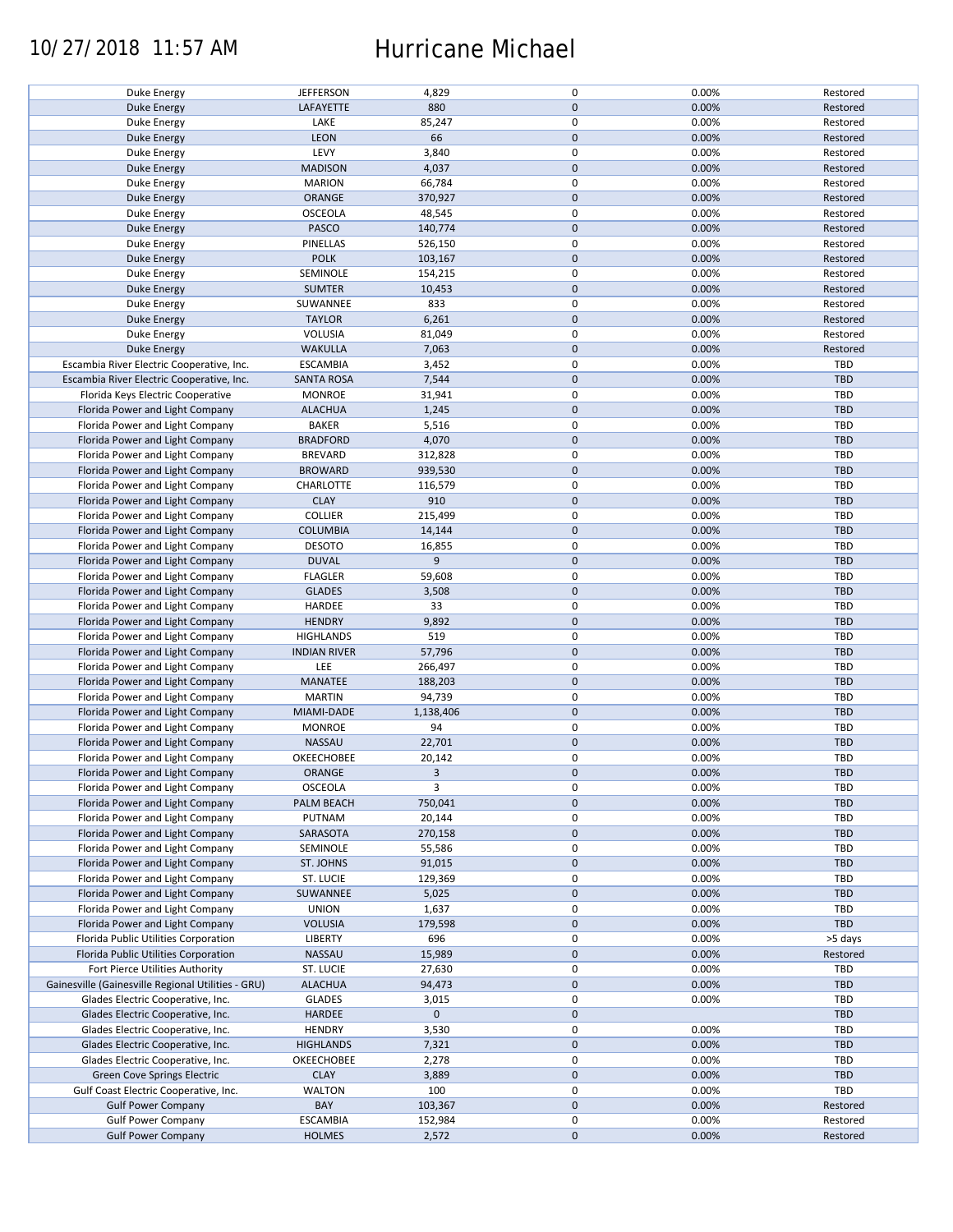### 10/27/2018 11:57 AM Hurricane Michael

| 0<br><b>JEFFERSON</b><br>4,829<br>0.00%<br>Restored<br>Duke Energy<br>880<br>$\mathbf{0}$<br>0.00%<br>LAFAYETTE<br>Restored<br><b>Duke Energy</b><br>0<br>0.00%<br>LAKE<br>85,247<br>Restored<br>Duke Energy<br>66<br>$\mathbf 0$<br><b>LEON</b><br>0.00%<br>Restored<br><b>Duke Energy</b><br>LEVY<br>3,840<br>0<br>0.00%<br>Restored<br>Duke Energy<br>$\mathbf 0$<br><b>MADISON</b><br>4,037<br>0.00%<br>Restored<br>Duke Energy<br>0.00%<br><b>MARION</b><br>66,784<br>0<br>Restored<br>Duke Energy<br>$\mathbf 0$<br>370,927<br>0.00%<br>ORANGE<br>Restored<br><b>Duke Energy</b><br><b>OSCEOLA</b><br>48,545<br>0<br>0.00%<br>Restored<br><b>Duke Energy</b><br>$\mathbf 0$<br>PASCO<br>140,774<br>0.00%<br><b>Duke Energy</b><br>Restored<br>0.00%<br>PINELLAS<br>526,150<br>0<br>Restored<br>Duke Energy<br><b>POLK</b><br>$\mathbf 0$<br>103,167<br>0.00%<br>Restored<br><b>Duke Energy</b><br>SEMINOLE<br>0<br>0.00%<br>154,215<br>Restored<br>Duke Energy<br>$\mathbf 0$<br><b>SUMTER</b><br>10,453<br>0.00%<br>Restored<br><b>Duke Energy</b><br>SUWANNEE<br>833<br>0<br>0.00%<br>Restored<br>Duke Energy<br>$\mathbf 0$<br><b>TAYLOR</b><br>6,261<br>0.00%<br>Restored<br><b>Duke Energy</b><br>Duke Energy<br><b>VOLUSIA</b><br>81,049<br>0<br>0.00%<br>Restored<br>$\mathbf 0$<br><b>Duke Energy</b><br><b>WAKULLA</b><br>7,063<br>0.00%<br>Restored<br>0<br>0.00%<br>Escambia River Electric Cooperative, Inc.<br><b>ESCAMBIA</b><br>3,452<br>TBD<br>$\mathbf 0$<br>0.00%<br>Escambia River Electric Cooperative, Inc.<br><b>SANTA ROSA</b><br>7,544<br>TBD<br>0<br>0.00%<br>TBD<br>Florida Keys Electric Cooperative<br><b>MONROE</b><br>31,941<br>$\mathbf 0$<br>Florida Power and Light Company<br><b>ALACHUA</b><br>1,245<br>0.00%<br><b>TBD</b><br>0<br>0.00%<br>TBD<br>Florida Power and Light Company<br><b>BAKER</b><br>5,516<br>$\mathbf 0$<br><b>BRADFORD</b><br>4,070<br>0.00%<br>TBD<br>Florida Power and Light Company<br>BREVARD<br>0<br>0.00%<br>TBD<br>Florida Power and Light Company<br>312,828<br>$\mathbf 0$<br>0.00%<br>TBD<br><b>BROWARD</b><br>939,530<br>Florida Power and Light Company<br>0<br>Florida Power and Light Company<br>CHARLOTTE<br>116,579<br>0.00%<br>TBD<br><b>CLAY</b><br>910<br>$\mathbf 0$<br>0.00%<br>Florida Power and Light Company<br><b>TBD</b><br>$\mathsf 0$<br><b>COLLIER</b><br>0.00%<br>TBD<br>Florida Power and Light Company<br>215,499<br>$\mathbf 0$<br>Florida Power and Light Company<br><b>COLUMBIA</b><br>14,144<br>0.00%<br>TBD<br>0<br>Florida Power and Light Company<br><b>DESOTO</b><br>16,855<br>0.00%<br>TBD |     |       |              |           |                |                                 |
|--------------------------------------------------------------------------------------------------------------------------------------------------------------------------------------------------------------------------------------------------------------------------------------------------------------------------------------------------------------------------------------------------------------------------------------------------------------------------------------------------------------------------------------------------------------------------------------------------------------------------------------------------------------------------------------------------------------------------------------------------------------------------------------------------------------------------------------------------------------------------------------------------------------------------------------------------------------------------------------------------------------------------------------------------------------------------------------------------------------------------------------------------------------------------------------------------------------------------------------------------------------------------------------------------------------------------------------------------------------------------------------------------------------------------------------------------------------------------------------------------------------------------------------------------------------------------------------------------------------------------------------------------------------------------------------------------------------------------------------------------------------------------------------------------------------------------------------------------------------------------------------------------------------------------------------------------------------------------------------------------------------------------------------------------------------------------------------------------------------------------------------------------------------------------------------------------------------------------------------------------------------------------------------------------------------------------------------------------------------------------------------------------------------------------------------------------------------------------------------------------------------------------------------------------------------------------------------------------|-----|-------|--------------|-----------|----------------|---------------------------------|
|                                                                                                                                                                                                                                                                                                                                                                                                                                                                                                                                                                                                                                                                                                                                                                                                                                                                                                                                                                                                                                                                                                                                                                                                                                                                                                                                                                                                                                                                                                                                                                                                                                                                                                                                                                                                                                                                                                                                                                                                                                                                                                                                                                                                                                                                                                                                                                                                                                                                                                                                                                                                  |     |       |              |           |                |                                 |
|                                                                                                                                                                                                                                                                                                                                                                                                                                                                                                                                                                                                                                                                                                                                                                                                                                                                                                                                                                                                                                                                                                                                                                                                                                                                                                                                                                                                                                                                                                                                                                                                                                                                                                                                                                                                                                                                                                                                                                                                                                                                                                                                                                                                                                                                                                                                                                                                                                                                                                                                                                                                  |     |       |              |           |                |                                 |
|                                                                                                                                                                                                                                                                                                                                                                                                                                                                                                                                                                                                                                                                                                                                                                                                                                                                                                                                                                                                                                                                                                                                                                                                                                                                                                                                                                                                                                                                                                                                                                                                                                                                                                                                                                                                                                                                                                                                                                                                                                                                                                                                                                                                                                                                                                                                                                                                                                                                                                                                                                                                  |     |       |              |           |                |                                 |
|                                                                                                                                                                                                                                                                                                                                                                                                                                                                                                                                                                                                                                                                                                                                                                                                                                                                                                                                                                                                                                                                                                                                                                                                                                                                                                                                                                                                                                                                                                                                                                                                                                                                                                                                                                                                                                                                                                                                                                                                                                                                                                                                                                                                                                                                                                                                                                                                                                                                                                                                                                                                  |     |       |              |           |                |                                 |
|                                                                                                                                                                                                                                                                                                                                                                                                                                                                                                                                                                                                                                                                                                                                                                                                                                                                                                                                                                                                                                                                                                                                                                                                                                                                                                                                                                                                                                                                                                                                                                                                                                                                                                                                                                                                                                                                                                                                                                                                                                                                                                                                                                                                                                                                                                                                                                                                                                                                                                                                                                                                  |     |       |              |           |                |                                 |
|                                                                                                                                                                                                                                                                                                                                                                                                                                                                                                                                                                                                                                                                                                                                                                                                                                                                                                                                                                                                                                                                                                                                                                                                                                                                                                                                                                                                                                                                                                                                                                                                                                                                                                                                                                                                                                                                                                                                                                                                                                                                                                                                                                                                                                                                                                                                                                                                                                                                                                                                                                                                  |     |       |              |           |                |                                 |
|                                                                                                                                                                                                                                                                                                                                                                                                                                                                                                                                                                                                                                                                                                                                                                                                                                                                                                                                                                                                                                                                                                                                                                                                                                                                                                                                                                                                                                                                                                                                                                                                                                                                                                                                                                                                                                                                                                                                                                                                                                                                                                                                                                                                                                                                                                                                                                                                                                                                                                                                                                                                  |     |       |              |           |                |                                 |
|                                                                                                                                                                                                                                                                                                                                                                                                                                                                                                                                                                                                                                                                                                                                                                                                                                                                                                                                                                                                                                                                                                                                                                                                                                                                                                                                                                                                                                                                                                                                                                                                                                                                                                                                                                                                                                                                                                                                                                                                                                                                                                                                                                                                                                                                                                                                                                                                                                                                                                                                                                                                  |     |       |              |           |                |                                 |
|                                                                                                                                                                                                                                                                                                                                                                                                                                                                                                                                                                                                                                                                                                                                                                                                                                                                                                                                                                                                                                                                                                                                                                                                                                                                                                                                                                                                                                                                                                                                                                                                                                                                                                                                                                                                                                                                                                                                                                                                                                                                                                                                                                                                                                                                                                                                                                                                                                                                                                                                                                                                  |     |       |              |           |                |                                 |
|                                                                                                                                                                                                                                                                                                                                                                                                                                                                                                                                                                                                                                                                                                                                                                                                                                                                                                                                                                                                                                                                                                                                                                                                                                                                                                                                                                                                                                                                                                                                                                                                                                                                                                                                                                                                                                                                                                                                                                                                                                                                                                                                                                                                                                                                                                                                                                                                                                                                                                                                                                                                  |     |       |              |           |                |                                 |
|                                                                                                                                                                                                                                                                                                                                                                                                                                                                                                                                                                                                                                                                                                                                                                                                                                                                                                                                                                                                                                                                                                                                                                                                                                                                                                                                                                                                                                                                                                                                                                                                                                                                                                                                                                                                                                                                                                                                                                                                                                                                                                                                                                                                                                                                                                                                                                                                                                                                                                                                                                                                  |     |       |              |           |                |                                 |
|                                                                                                                                                                                                                                                                                                                                                                                                                                                                                                                                                                                                                                                                                                                                                                                                                                                                                                                                                                                                                                                                                                                                                                                                                                                                                                                                                                                                                                                                                                                                                                                                                                                                                                                                                                                                                                                                                                                                                                                                                                                                                                                                                                                                                                                                                                                                                                                                                                                                                                                                                                                                  |     |       |              |           |                |                                 |
|                                                                                                                                                                                                                                                                                                                                                                                                                                                                                                                                                                                                                                                                                                                                                                                                                                                                                                                                                                                                                                                                                                                                                                                                                                                                                                                                                                                                                                                                                                                                                                                                                                                                                                                                                                                                                                                                                                                                                                                                                                                                                                                                                                                                                                                                                                                                                                                                                                                                                                                                                                                                  |     |       |              |           |                |                                 |
|                                                                                                                                                                                                                                                                                                                                                                                                                                                                                                                                                                                                                                                                                                                                                                                                                                                                                                                                                                                                                                                                                                                                                                                                                                                                                                                                                                                                                                                                                                                                                                                                                                                                                                                                                                                                                                                                                                                                                                                                                                                                                                                                                                                                                                                                                                                                                                                                                                                                                                                                                                                                  |     |       |              |           |                |                                 |
|                                                                                                                                                                                                                                                                                                                                                                                                                                                                                                                                                                                                                                                                                                                                                                                                                                                                                                                                                                                                                                                                                                                                                                                                                                                                                                                                                                                                                                                                                                                                                                                                                                                                                                                                                                                                                                                                                                                                                                                                                                                                                                                                                                                                                                                                                                                                                                                                                                                                                                                                                                                                  |     |       |              |           |                |                                 |
|                                                                                                                                                                                                                                                                                                                                                                                                                                                                                                                                                                                                                                                                                                                                                                                                                                                                                                                                                                                                                                                                                                                                                                                                                                                                                                                                                                                                                                                                                                                                                                                                                                                                                                                                                                                                                                                                                                                                                                                                                                                                                                                                                                                                                                                                                                                                                                                                                                                                                                                                                                                                  |     |       |              |           |                |                                 |
|                                                                                                                                                                                                                                                                                                                                                                                                                                                                                                                                                                                                                                                                                                                                                                                                                                                                                                                                                                                                                                                                                                                                                                                                                                                                                                                                                                                                                                                                                                                                                                                                                                                                                                                                                                                                                                                                                                                                                                                                                                                                                                                                                                                                                                                                                                                                                                                                                                                                                                                                                                                                  |     |       |              |           |                |                                 |
|                                                                                                                                                                                                                                                                                                                                                                                                                                                                                                                                                                                                                                                                                                                                                                                                                                                                                                                                                                                                                                                                                                                                                                                                                                                                                                                                                                                                                                                                                                                                                                                                                                                                                                                                                                                                                                                                                                                                                                                                                                                                                                                                                                                                                                                                                                                                                                                                                                                                                                                                                                                                  |     |       |              |           |                |                                 |
|                                                                                                                                                                                                                                                                                                                                                                                                                                                                                                                                                                                                                                                                                                                                                                                                                                                                                                                                                                                                                                                                                                                                                                                                                                                                                                                                                                                                                                                                                                                                                                                                                                                                                                                                                                                                                                                                                                                                                                                                                                                                                                                                                                                                                                                                                                                                                                                                                                                                                                                                                                                                  |     |       |              |           |                |                                 |
|                                                                                                                                                                                                                                                                                                                                                                                                                                                                                                                                                                                                                                                                                                                                                                                                                                                                                                                                                                                                                                                                                                                                                                                                                                                                                                                                                                                                                                                                                                                                                                                                                                                                                                                                                                                                                                                                                                                                                                                                                                                                                                                                                                                                                                                                                                                                                                                                                                                                                                                                                                                                  |     |       |              |           |                |                                 |
|                                                                                                                                                                                                                                                                                                                                                                                                                                                                                                                                                                                                                                                                                                                                                                                                                                                                                                                                                                                                                                                                                                                                                                                                                                                                                                                                                                                                                                                                                                                                                                                                                                                                                                                                                                                                                                                                                                                                                                                                                                                                                                                                                                                                                                                                                                                                                                                                                                                                                                                                                                                                  |     |       |              |           |                |                                 |
|                                                                                                                                                                                                                                                                                                                                                                                                                                                                                                                                                                                                                                                                                                                                                                                                                                                                                                                                                                                                                                                                                                                                                                                                                                                                                                                                                                                                                                                                                                                                                                                                                                                                                                                                                                                                                                                                                                                                                                                                                                                                                                                                                                                                                                                                                                                                                                                                                                                                                                                                                                                                  |     |       |              |           |                |                                 |
|                                                                                                                                                                                                                                                                                                                                                                                                                                                                                                                                                                                                                                                                                                                                                                                                                                                                                                                                                                                                                                                                                                                                                                                                                                                                                                                                                                                                                                                                                                                                                                                                                                                                                                                                                                                                                                                                                                                                                                                                                                                                                                                                                                                                                                                                                                                                                                                                                                                                                                                                                                                                  |     |       |              |           |                |                                 |
|                                                                                                                                                                                                                                                                                                                                                                                                                                                                                                                                                                                                                                                                                                                                                                                                                                                                                                                                                                                                                                                                                                                                                                                                                                                                                                                                                                                                                                                                                                                                                                                                                                                                                                                                                                                                                                                                                                                                                                                                                                                                                                                                                                                                                                                                                                                                                                                                                                                                                                                                                                                                  |     |       |              |           |                |                                 |
|                                                                                                                                                                                                                                                                                                                                                                                                                                                                                                                                                                                                                                                                                                                                                                                                                                                                                                                                                                                                                                                                                                                                                                                                                                                                                                                                                                                                                                                                                                                                                                                                                                                                                                                                                                                                                                                                                                                                                                                                                                                                                                                                                                                                                                                                                                                                                                                                                                                                                                                                                                                                  |     |       |              |           |                |                                 |
|                                                                                                                                                                                                                                                                                                                                                                                                                                                                                                                                                                                                                                                                                                                                                                                                                                                                                                                                                                                                                                                                                                                                                                                                                                                                                                                                                                                                                                                                                                                                                                                                                                                                                                                                                                                                                                                                                                                                                                                                                                                                                                                                                                                                                                                                                                                                                                                                                                                                                                                                                                                                  |     |       |              |           |                |                                 |
|                                                                                                                                                                                                                                                                                                                                                                                                                                                                                                                                                                                                                                                                                                                                                                                                                                                                                                                                                                                                                                                                                                                                                                                                                                                                                                                                                                                                                                                                                                                                                                                                                                                                                                                                                                                                                                                                                                                                                                                                                                                                                                                                                                                                                                                                                                                                                                                                                                                                                                                                                                                                  |     |       |              |           |                |                                 |
|                                                                                                                                                                                                                                                                                                                                                                                                                                                                                                                                                                                                                                                                                                                                                                                                                                                                                                                                                                                                                                                                                                                                                                                                                                                                                                                                                                                                                                                                                                                                                                                                                                                                                                                                                                                                                                                                                                                                                                                                                                                                                                                                                                                                                                                                                                                                                                                                                                                                                                                                                                                                  |     |       |              |           |                |                                 |
|                                                                                                                                                                                                                                                                                                                                                                                                                                                                                                                                                                                                                                                                                                                                                                                                                                                                                                                                                                                                                                                                                                                                                                                                                                                                                                                                                                                                                                                                                                                                                                                                                                                                                                                                                                                                                                                                                                                                                                                                                                                                                                                                                                                                                                                                                                                                                                                                                                                                                                                                                                                                  |     |       |              |           |                |                                 |
|                                                                                                                                                                                                                                                                                                                                                                                                                                                                                                                                                                                                                                                                                                                                                                                                                                                                                                                                                                                                                                                                                                                                                                                                                                                                                                                                                                                                                                                                                                                                                                                                                                                                                                                                                                                                                                                                                                                                                                                                                                                                                                                                                                                                                                                                                                                                                                                                                                                                                                                                                                                                  |     |       |              |           |                |                                 |
|                                                                                                                                                                                                                                                                                                                                                                                                                                                                                                                                                                                                                                                                                                                                                                                                                                                                                                                                                                                                                                                                                                                                                                                                                                                                                                                                                                                                                                                                                                                                                                                                                                                                                                                                                                                                                                                                                                                                                                                                                                                                                                                                                                                                                                                                                                                                                                                                                                                                                                                                                                                                  |     |       |              |           |                |                                 |
|                                                                                                                                                                                                                                                                                                                                                                                                                                                                                                                                                                                                                                                                                                                                                                                                                                                                                                                                                                                                                                                                                                                                                                                                                                                                                                                                                                                                                                                                                                                                                                                                                                                                                                                                                                                                                                                                                                                                                                                                                                                                                                                                                                                                                                                                                                                                                                                                                                                                                                                                                                                                  |     |       |              |           |                |                                 |
|                                                                                                                                                                                                                                                                                                                                                                                                                                                                                                                                                                                                                                                                                                                                                                                                                                                                                                                                                                                                                                                                                                                                                                                                                                                                                                                                                                                                                                                                                                                                                                                                                                                                                                                                                                                                                                                                                                                                                                                                                                                                                                                                                                                                                                                                                                                                                                                                                                                                                                                                                                                                  |     |       |              |           |                |                                 |
|                                                                                                                                                                                                                                                                                                                                                                                                                                                                                                                                                                                                                                                                                                                                                                                                                                                                                                                                                                                                                                                                                                                                                                                                                                                                                                                                                                                                                                                                                                                                                                                                                                                                                                                                                                                                                                                                                                                                                                                                                                                                                                                                                                                                                                                                                                                                                                                                                                                                                                                                                                                                  |     |       |              |           |                |                                 |
|                                                                                                                                                                                                                                                                                                                                                                                                                                                                                                                                                                                                                                                                                                                                                                                                                                                                                                                                                                                                                                                                                                                                                                                                                                                                                                                                                                                                                                                                                                                                                                                                                                                                                                                                                                                                                                                                                                                                                                                                                                                                                                                                                                                                                                                                                                                                                                                                                                                                                                                                                                                                  |     |       |              |           |                |                                 |
|                                                                                                                                                                                                                                                                                                                                                                                                                                                                                                                                                                                                                                                                                                                                                                                                                                                                                                                                                                                                                                                                                                                                                                                                                                                                                                                                                                                                                                                                                                                                                                                                                                                                                                                                                                                                                                                                                                                                                                                                                                                                                                                                                                                                                                                                                                                                                                                                                                                                                                                                                                                                  |     |       |              |           |                |                                 |
|                                                                                                                                                                                                                                                                                                                                                                                                                                                                                                                                                                                                                                                                                                                                                                                                                                                                                                                                                                                                                                                                                                                                                                                                                                                                                                                                                                                                                                                                                                                                                                                                                                                                                                                                                                                                                                                                                                                                                                                                                                                                                                                                                                                                                                                                                                                                                                                                                                                                                                                                                                                                  |     |       |              |           |                |                                 |
|                                                                                                                                                                                                                                                                                                                                                                                                                                                                                                                                                                                                                                                                                                                                                                                                                                                                                                                                                                                                                                                                                                                                                                                                                                                                                                                                                                                                                                                                                                                                                                                                                                                                                                                                                                                                                                                                                                                                                                                                                                                                                                                                                                                                                                                                                                                                                                                                                                                                                                                                                                                                  |     |       |              |           |                |                                 |
|                                                                                                                                                                                                                                                                                                                                                                                                                                                                                                                                                                                                                                                                                                                                                                                                                                                                                                                                                                                                                                                                                                                                                                                                                                                                                                                                                                                                                                                                                                                                                                                                                                                                                                                                                                                                                                                                                                                                                                                                                                                                                                                                                                                                                                                                                                                                                                                                                                                                                                                                                                                                  |     |       |              |           |                |                                 |
|                                                                                                                                                                                                                                                                                                                                                                                                                                                                                                                                                                                                                                                                                                                                                                                                                                                                                                                                                                                                                                                                                                                                                                                                                                                                                                                                                                                                                                                                                                                                                                                                                                                                                                                                                                                                                                                                                                                                                                                                                                                                                                                                                                                                                                                                                                                                                                                                                                                                                                                                                                                                  |     |       |              |           |                |                                 |
|                                                                                                                                                                                                                                                                                                                                                                                                                                                                                                                                                                                                                                                                                                                                                                                                                                                                                                                                                                                                                                                                                                                                                                                                                                                                                                                                                                                                                                                                                                                                                                                                                                                                                                                                                                                                                                                                                                                                                                                                                                                                                                                                                                                                                                                                                                                                                                                                                                                                                                                                                                                                  |     |       |              |           |                |                                 |
|                                                                                                                                                                                                                                                                                                                                                                                                                                                                                                                                                                                                                                                                                                                                                                                                                                                                                                                                                                                                                                                                                                                                                                                                                                                                                                                                                                                                                                                                                                                                                                                                                                                                                                                                                                                                                                                                                                                                                                                                                                                                                                                                                                                                                                                                                                                                                                                                                                                                                                                                                                                                  |     |       |              |           |                |                                 |
|                                                                                                                                                                                                                                                                                                                                                                                                                                                                                                                                                                                                                                                                                                                                                                                                                                                                                                                                                                                                                                                                                                                                                                                                                                                                                                                                                                                                                                                                                                                                                                                                                                                                                                                                                                                                                                                                                                                                                                                                                                                                                                                                                                                                                                                                                                                                                                                                                                                                                                                                                                                                  |     |       |              |           |                |                                 |
|                                                                                                                                                                                                                                                                                                                                                                                                                                                                                                                                                                                                                                                                                                                                                                                                                                                                                                                                                                                                                                                                                                                                                                                                                                                                                                                                                                                                                                                                                                                                                                                                                                                                                                                                                                                                                                                                                                                                                                                                                                                                                                                                                                                                                                                                                                                                                                                                                                                                                                                                                                                                  |     |       |              |           |                |                                 |
|                                                                                                                                                                                                                                                                                                                                                                                                                                                                                                                                                                                                                                                                                                                                                                                                                                                                                                                                                                                                                                                                                                                                                                                                                                                                                                                                                                                                                                                                                                                                                                                                                                                                                                                                                                                                                                                                                                                                                                                                                                                                                                                                                                                                                                                                                                                                                                                                                                                                                                                                                                                                  | TBD | 0.00% | $\mathbf 0$  | 9         | <b>DUVAL</b>   | Florida Power and Light Company |
| $\pmb{0}$<br>TBD                                                                                                                                                                                                                                                                                                                                                                                                                                                                                                                                                                                                                                                                                                                                                                                                                                                                                                                                                                                                                                                                                                                                                                                                                                                                                                                                                                                                                                                                                                                                                                                                                                                                                                                                                                                                                                                                                                                                                                                                                                                                                                                                                                                                                                                                                                                                                                                                                                                                                                                                                                                 |     |       |              |           |                |                                 |
| Florida Power and Light Company<br><b>FLAGLER</b><br>59,608<br>0.00%                                                                                                                                                                                                                                                                                                                                                                                                                                                                                                                                                                                                                                                                                                                                                                                                                                                                                                                                                                                                                                                                                                                                                                                                                                                                                                                                                                                                                                                                                                                                                                                                                                                                                                                                                                                                                                                                                                                                                                                                                                                                                                                                                                                                                                                                                                                                                                                                                                                                                                                             |     |       |              |           |                |                                 |
| $\mathbf 0$<br>0.00%<br>TBD<br>Florida Power and Light Company<br><b>GLADES</b><br>3,508                                                                                                                                                                                                                                                                                                                                                                                                                                                                                                                                                                                                                                                                                                                                                                                                                                                                                                                                                                                                                                                                                                                                                                                                                                                                                                                                                                                                                                                                                                                                                                                                                                                                                                                                                                                                                                                                                                                                                                                                                                                                                                                                                                                                                                                                                                                                                                                                                                                                                                         |     |       |              |           |                |                                 |
| 0<br>Florida Power and Light Company<br>HARDEE<br>33<br>0.00%<br>TBD                                                                                                                                                                                                                                                                                                                                                                                                                                                                                                                                                                                                                                                                                                                                                                                                                                                                                                                                                                                                                                                                                                                                                                                                                                                                                                                                                                                                                                                                                                                                                                                                                                                                                                                                                                                                                                                                                                                                                                                                                                                                                                                                                                                                                                                                                                                                                                                                                                                                                                                             |     |       |              |           |                |                                 |
|                                                                                                                                                                                                                                                                                                                                                                                                                                                                                                                                                                                                                                                                                                                                                                                                                                                                                                                                                                                                                                                                                                                                                                                                                                                                                                                                                                                                                                                                                                                                                                                                                                                                                                                                                                                                                                                                                                                                                                                                                                                                                                                                                                                                                                                                                                                                                                                                                                                                                                                                                                                                  |     |       |              |           |                |                                 |
| $\mathbf 0$<br>0.00%<br><b>HENDRY</b><br>9,892<br><b>TBD</b><br>Florida Power and Light Company                                                                                                                                                                                                                                                                                                                                                                                                                                                                                                                                                                                                                                                                                                                                                                                                                                                                                                                                                                                                                                                                                                                                                                                                                                                                                                                                                                                                                                                                                                                                                                                                                                                                                                                                                                                                                                                                                                                                                                                                                                                                                                                                                                                                                                                                                                                                                                                                                                                                                                  |     |       |              |           |                |                                 |
| 519<br>0<br>0.00%<br><b>HIGHLANDS</b><br>TBD<br>Florida Power and Light Company                                                                                                                                                                                                                                                                                                                                                                                                                                                                                                                                                                                                                                                                                                                                                                                                                                                                                                                                                                                                                                                                                                                                                                                                                                                                                                                                                                                                                                                                                                                                                                                                                                                                                                                                                                                                                                                                                                                                                                                                                                                                                                                                                                                                                                                                                                                                                                                                                                                                                                                  |     |       |              |           |                |                                 |
|                                                                                                                                                                                                                                                                                                                                                                                                                                                                                                                                                                                                                                                                                                                                                                                                                                                                                                                                                                                                                                                                                                                                                                                                                                                                                                                                                                                                                                                                                                                                                                                                                                                                                                                                                                                                                                                                                                                                                                                                                                                                                                                                                                                                                                                                                                                                                                                                                                                                                                                                                                                                  |     |       |              |           |                |                                 |
| $\pmb{0}$<br>Florida Power and Light Company<br><b>INDIAN RIVER</b><br>57,796<br>0.00%<br><b>TBD</b>                                                                                                                                                                                                                                                                                                                                                                                                                                                                                                                                                                                                                                                                                                                                                                                                                                                                                                                                                                                                                                                                                                                                                                                                                                                                                                                                                                                                                                                                                                                                                                                                                                                                                                                                                                                                                                                                                                                                                                                                                                                                                                                                                                                                                                                                                                                                                                                                                                                                                             |     |       |              |           |                |                                 |
| $\mathsf 0$<br>LEE<br>TBD<br>266,497<br>0.00%                                                                                                                                                                                                                                                                                                                                                                                                                                                                                                                                                                                                                                                                                                                                                                                                                                                                                                                                                                                                                                                                                                                                                                                                                                                                                                                                                                                                                                                                                                                                                                                                                                                                                                                                                                                                                                                                                                                                                                                                                                                                                                                                                                                                                                                                                                                                                                                                                                                                                                                                                    |     |       |              |           |                |                                 |
|                                                                                                                                                                                                                                                                                                                                                                                                                                                                                                                                                                                                                                                                                                                                                                                                                                                                                                                                                                                                                                                                                                                                                                                                                                                                                                                                                                                                                                                                                                                                                                                                                                                                                                                                                                                                                                                                                                                                                                                                                                                                                                                                                                                                                                                                                                                                                                                                                                                                                                                                                                                                  |     |       |              |           |                |                                 |
| $\mathbf 0$<br>0.00%<br>TBD<br>188,203                                                                                                                                                                                                                                                                                                                                                                                                                                                                                                                                                                                                                                                                                                                                                                                                                                                                                                                                                                                                                                                                                                                                                                                                                                                                                                                                                                                                                                                                                                                                                                                                                                                                                                                                                                                                                                                                                                                                                                                                                                                                                                                                                                                                                                                                                                                                                                                                                                                                                                                                                           |     |       |              |           |                | Florida Power and Light Company |
| <b>MARTIN</b><br>94,739<br>0<br>0.00%<br>TBD<br>Florida Power and Light Company                                                                                                                                                                                                                                                                                                                                                                                                                                                                                                                                                                                                                                                                                                                                                                                                                                                                                                                                                                                                                                                                                                                                                                                                                                                                                                                                                                                                                                                                                                                                                                                                                                                                                                                                                                                                                                                                                                                                                                                                                                                                                                                                                                                                                                                                                                                                                                                                                                                                                                                  |     |       |              |           | MANATEE        | Florida Power and Light Company |
| $\mathbf 0$<br>0.00%                                                                                                                                                                                                                                                                                                                                                                                                                                                                                                                                                                                                                                                                                                                                                                                                                                                                                                                                                                                                                                                                                                                                                                                                                                                                                                                                                                                                                                                                                                                                                                                                                                                                                                                                                                                                                                                                                                                                                                                                                                                                                                                                                                                                                                                                                                                                                                                                                                                                                                                                                                             |     |       |              |           |                |                                 |
|                                                                                                                                                                                                                                                                                                                                                                                                                                                                                                                                                                                                                                                                                                                                                                                                                                                                                                                                                                                                                                                                                                                                                                                                                                                                                                                                                                                                                                                                                                                                                                                                                                                                                                                                                                                                                                                                                                                                                                                                                                                                                                                                                                                                                                                                                                                                                                                                                                                                                                                                                                                                  |     |       |              |           |                |                                 |
|                                                                                                                                                                                                                                                                                                                                                                                                                                                                                                                                                                                                                                                                                                                                                                                                                                                                                                                                                                                                                                                                                                                                                                                                                                                                                                                                                                                                                                                                                                                                                                                                                                                                                                                                                                                                                                                                                                                                                                                                                                                                                                                                                                                                                                                                                                                                                                                                                                                                                                                                                                                                  | TBD |       |              | 1,138,406 | MIAMI-DADE     | Florida Power and Light Company |
|                                                                                                                                                                                                                                                                                                                                                                                                                                                                                                                                                                                                                                                                                                                                                                                                                                                                                                                                                                                                                                                                                                                                                                                                                                                                                                                                                                                                                                                                                                                                                                                                                                                                                                                                                                                                                                                                                                                                                                                                                                                                                                                                                                                                                                                                                                                                                                                                                                                                                                                                                                                                  | TBD | 0.00% | 0            | 94        | <b>MONROE</b>  |                                 |
|                                                                                                                                                                                                                                                                                                                                                                                                                                                                                                                                                                                                                                                                                                                                                                                                                                                                                                                                                                                                                                                                                                                                                                                                                                                                                                                                                                                                                                                                                                                                                                                                                                                                                                                                                                                                                                                                                                                                                                                                                                                                                                                                                                                                                                                                                                                                                                                                                                                                                                                                                                                                  |     |       |              |           |                | Florida Power and Light Company |
|                                                                                                                                                                                                                                                                                                                                                                                                                                                                                                                                                                                                                                                                                                                                                                                                                                                                                                                                                                                                                                                                                                                                                                                                                                                                                                                                                                                                                                                                                                                                                                                                                                                                                                                                                                                                                                                                                                                                                                                                                                                                                                                                                                                                                                                                                                                                                                                                                                                                                                                                                                                                  | TBD | 0.00% | $\pmb{0}$    | 22,701    | NASSAU         | Florida Power and Light Company |
|                                                                                                                                                                                                                                                                                                                                                                                                                                                                                                                                                                                                                                                                                                                                                                                                                                                                                                                                                                                                                                                                                                                                                                                                                                                                                                                                                                                                                                                                                                                                                                                                                                                                                                                                                                                                                                                                                                                                                                                                                                                                                                                                                                                                                                                                                                                                                                                                                                                                                                                                                                                                  | TBD | 0.00% | 0            | 20,142    | OKEECHOBEE     | Florida Power and Light Company |
|                                                                                                                                                                                                                                                                                                                                                                                                                                                                                                                                                                                                                                                                                                                                                                                                                                                                                                                                                                                                                                                                                                                                                                                                                                                                                                                                                                                                                                                                                                                                                                                                                                                                                                                                                                                                                                                                                                                                                                                                                                                                                                                                                                                                                                                                                                                                                                                                                                                                                                                                                                                                  |     |       |              |           |                |                                 |
|                                                                                                                                                                                                                                                                                                                                                                                                                                                                                                                                                                                                                                                                                                                                                                                                                                                                                                                                                                                                                                                                                                                                                                                                                                                                                                                                                                                                                                                                                                                                                                                                                                                                                                                                                                                                                                                                                                                                                                                                                                                                                                                                                                                                                                                                                                                                                                                                                                                                                                                                                                                                  | TBD | 0.00% | $\mathbf{0}$ | 3         | ORANGE         | Florida Power and Light Company |
|                                                                                                                                                                                                                                                                                                                                                                                                                                                                                                                                                                                                                                                                                                                                                                                                                                                                                                                                                                                                                                                                                                                                                                                                                                                                                                                                                                                                                                                                                                                                                                                                                                                                                                                                                                                                                                                                                                                                                                                                                                                                                                                                                                                                                                                                                                                                                                                                                                                                                                                                                                                                  | TBD | 0.00% | 0            | 3         | <b>OSCEOLA</b> | Florida Power and Light Company |
|                                                                                                                                                                                                                                                                                                                                                                                                                                                                                                                                                                                                                                                                                                                                                                                                                                                                                                                                                                                                                                                                                                                                                                                                                                                                                                                                                                                                                                                                                                                                                                                                                                                                                                                                                                                                                                                                                                                                                                                                                                                                                                                                                                                                                                                                                                                                                                                                                                                                                                                                                                                                  |     |       |              |           |                |                                 |
|                                                                                                                                                                                                                                                                                                                                                                                                                                                                                                                                                                                                                                                                                                                                                                                                                                                                                                                                                                                                                                                                                                                                                                                                                                                                                                                                                                                                                                                                                                                                                                                                                                                                                                                                                                                                                                                                                                                                                                                                                                                                                                                                                                                                                                                                                                                                                                                                                                                                                                                                                                                                  | TBD | 0.00% | $\mathbf 0$  | 750,041   | PALM BEACH     | Florida Power and Light Company |
| $\pmb{0}$<br>0.00%<br>Florida Power and Light Company<br>SARASOTA<br>270,158<br><b>TBD</b>                                                                                                                                                                                                                                                                                                                                                                                                                                                                                                                                                                                                                                                                                                                                                                                                                                                                                                                                                                                                                                                                                                                                                                                                                                                                                                                                                                                                                                                                                                                                                                                                                                                                                                                                                                                                                                                                                                                                                                                                                                                                                                                                                                                                                                                                                                                                                                                                                                                                                                       | TBD | 0.00% | 0            | 20,144    | PUTNAM         | Florida Power and Light Company |
|                                                                                                                                                                                                                                                                                                                                                                                                                                                                                                                                                                                                                                                                                                                                                                                                                                                                                                                                                                                                                                                                                                                                                                                                                                                                                                                                                                                                                                                                                                                                                                                                                                                                                                                                                                                                                                                                                                                                                                                                                                                                                                                                                                                                                                                                                                                                                                                                                                                                                                                                                                                                  |     |       |              |           |                |                                 |
|                                                                                                                                                                                                                                                                                                                                                                                                                                                                                                                                                                                                                                                                                                                                                                                                                                                                                                                                                                                                                                                                                                                                                                                                                                                                                                                                                                                                                                                                                                                                                                                                                                                                                                                                                                                                                                                                                                                                                                                                                                                                                                                                                                                                                                                                                                                                                                                                                                                                                                                                                                                                  |     |       |              |           |                |                                 |
| Florida Power and Light Company<br>ST. JOHNS<br>91,015<br>0.00%<br>TBD                                                                                                                                                                                                                                                                                                                                                                                                                                                                                                                                                                                                                                                                                                                                                                                                                                                                                                                                                                                                                                                                                                                                                                                                                                                                                                                                                                                                                                                                                                                                                                                                                                                                                                                                                                                                                                                                                                                                                                                                                                                                                                                                                                                                                                                                                                                                                                                                                                                                                                                           | TBD | 0.00% | 0            | 55,586    | SEMINOLE       | Florida Power and Light Company |
|                                                                                                                                                                                                                                                                                                                                                                                                                                                                                                                                                                                                                                                                                                                                                                                                                                                                                                                                                                                                                                                                                                                                                                                                                                                                                                                                                                                                                                                                                                                                                                                                                                                                                                                                                                                                                                                                                                                                                                                                                                                                                                                                                                                                                                                                                                                                                                                                                                                                                                                                                                                                  |     |       | $\mathbf 0$  |           |                |                                 |
|                                                                                                                                                                                                                                                                                                                                                                                                                                                                                                                                                                                                                                                                                                                                                                                                                                                                                                                                                                                                                                                                                                                                                                                                                                                                                                                                                                                                                                                                                                                                                                                                                                                                                                                                                                                                                                                                                                                                                                                                                                                                                                                                                                                                                                                                                                                                                                                                                                                                                                                                                                                                  |     |       |              |           |                |                                 |
|                                                                                                                                                                                                                                                                                                                                                                                                                                                                                                                                                                                                                                                                                                                                                                                                                                                                                                                                                                                                                                                                                                                                                                                                                                                                                                                                                                                                                                                                                                                                                                                                                                                                                                                                                                                                                                                                                                                                                                                                                                                                                                                                                                                                                                                                                                                                                                                                                                                                                                                                                                                                  | TBD | 0.00% | 0            | 129,369   | ST. LUCIE      | Florida Power and Light Company |
| Florida Power and Light Company<br>SUWANNEE<br>5,025<br>$\mathbf 0$<br>0.00%<br>TBD                                                                                                                                                                                                                                                                                                                                                                                                                                                                                                                                                                                                                                                                                                                                                                                                                                                                                                                                                                                                                                                                                                                                                                                                                                                                                                                                                                                                                                                                                                                                                                                                                                                                                                                                                                                                                                                                                                                                                                                                                                                                                                                                                                                                                                                                                                                                                                                                                                                                                                              |     |       |              |           |                |                                 |
|                                                                                                                                                                                                                                                                                                                                                                                                                                                                                                                                                                                                                                                                                                                                                                                                                                                                                                                                                                                                                                                                                                                                                                                                                                                                                                                                                                                                                                                                                                                                                                                                                                                                                                                                                                                                                                                                                                                                                                                                                                                                                                                                                                                                                                                                                                                                                                                                                                                                                                                                                                                                  |     |       |              |           |                |                                 |
| 0<br>0.00%<br>TBD<br>Florida Power and Light Company<br><b>UNION</b><br>1,637                                                                                                                                                                                                                                                                                                                                                                                                                                                                                                                                                                                                                                                                                                                                                                                                                                                                                                                                                                                                                                                                                                                                                                                                                                                                                                                                                                                                                                                                                                                                                                                                                                                                                                                                                                                                                                                                                                                                                                                                                                                                                                                                                                                                                                                                                                                                                                                                                                                                                                                    |     |       |              |           |                |                                 |
| Florida Power and Light Company<br><b>VOLUSIA</b><br>179,598<br>$\mathbf 0$<br>0.00%<br>TBD                                                                                                                                                                                                                                                                                                                                                                                                                                                                                                                                                                                                                                                                                                                                                                                                                                                                                                                                                                                                                                                                                                                                                                                                                                                                                                                                                                                                                                                                                                                                                                                                                                                                                                                                                                                                                                                                                                                                                                                                                                                                                                                                                                                                                                                                                                                                                                                                                                                                                                      |     |       |              |           |                |                                 |
| 0                                                                                                                                                                                                                                                                                                                                                                                                                                                                                                                                                                                                                                                                                                                                                                                                                                                                                                                                                                                                                                                                                                                                                                                                                                                                                                                                                                                                                                                                                                                                                                                                                                                                                                                                                                                                                                                                                                                                                                                                                                                                                                                                                                                                                                                                                                                                                                                                                                                                                                                                                                                                |     |       |              |           |                |                                 |
| 696<br>Florida Public Utilities Corporation<br>LIBERTY<br>0.00%<br>>5 days                                                                                                                                                                                                                                                                                                                                                                                                                                                                                                                                                                                                                                                                                                                                                                                                                                                                                                                                                                                                                                                                                                                                                                                                                                                                                                                                                                                                                                                                                                                                                                                                                                                                                                                                                                                                                                                                                                                                                                                                                                                                                                                                                                                                                                                                                                                                                                                                                                                                                                                       |     |       |              |           |                |                                 |
| $\mathbf 0$<br>0.00%<br>Florida Public Utilities Corporation<br><b>NASSAU</b><br>15,989<br>Restored                                                                                                                                                                                                                                                                                                                                                                                                                                                                                                                                                                                                                                                                                                                                                                                                                                                                                                                                                                                                                                                                                                                                                                                                                                                                                                                                                                                                                                                                                                                                                                                                                                                                                                                                                                                                                                                                                                                                                                                                                                                                                                                                                                                                                                                                                                                                                                                                                                                                                              |     |       |              |           |                |                                 |
| Fort Pierce Utilities Authority<br><b>ST. LUCIE</b><br>0<br>0.00%<br>TBD                                                                                                                                                                                                                                                                                                                                                                                                                                                                                                                                                                                                                                                                                                                                                                                                                                                                                                                                                                                                                                                                                                                                                                                                                                                                                                                                                                                                                                                                                                                                                                                                                                                                                                                                                                                                                                                                                                                                                                                                                                                                                                                                                                                                                                                                                                                                                                                                                                                                                                                         |     |       |              |           |                |                                 |
| 27,630                                                                                                                                                                                                                                                                                                                                                                                                                                                                                                                                                                                                                                                                                                                                                                                                                                                                                                                                                                                                                                                                                                                                                                                                                                                                                                                                                                                                                                                                                                                                                                                                                                                                                                                                                                                                                                                                                                                                                                                                                                                                                                                                                                                                                                                                                                                                                                                                                                                                                                                                                                                           |     |       |              |           |                |                                 |
| $\mathbf 0$<br>Gainesville (Gainesville Regional Utilities - GRU)<br>0.00%<br>TBD<br><b>ALACHUA</b><br>94,473                                                                                                                                                                                                                                                                                                                                                                                                                                                                                                                                                                                                                                                                                                                                                                                                                                                                                                                                                                                                                                                                                                                                                                                                                                                                                                                                                                                                                                                                                                                                                                                                                                                                                                                                                                                                                                                                                                                                                                                                                                                                                                                                                                                                                                                                                                                                                                                                                                                                                    |     |       |              |           |                |                                 |
| 0<br><b>GLADES</b><br>3,015<br>0.00%<br>TBD<br>Glades Electric Cooperative, Inc.                                                                                                                                                                                                                                                                                                                                                                                                                                                                                                                                                                                                                                                                                                                                                                                                                                                                                                                                                                                                                                                                                                                                                                                                                                                                                                                                                                                                                                                                                                                                                                                                                                                                                                                                                                                                                                                                                                                                                                                                                                                                                                                                                                                                                                                                                                                                                                                                                                                                                                                 |     |       |              |           |                |                                 |
|                                                                                                                                                                                                                                                                                                                                                                                                                                                                                                                                                                                                                                                                                                                                                                                                                                                                                                                                                                                                                                                                                                                                                                                                                                                                                                                                                                                                                                                                                                                                                                                                                                                                                                                                                                                                                                                                                                                                                                                                                                                                                                                                                                                                                                                                                                                                                                                                                                                                                                                                                                                                  |     |       |              |           |                |                                 |
| $\mathbf 0$<br>Glades Electric Cooperative, Inc.<br><b>HARDEE</b><br>$\mathbf 0$<br>TBD                                                                                                                                                                                                                                                                                                                                                                                                                                                                                                                                                                                                                                                                                                                                                                                                                                                                                                                                                                                                                                                                                                                                                                                                                                                                                                                                                                                                                                                                                                                                                                                                                                                                                                                                                                                                                                                                                                                                                                                                                                                                                                                                                                                                                                                                                                                                                                                                                                                                                                          |     |       |              |           |                |                                 |
| 3,530<br>0<br>TBD<br>Glades Electric Cooperative, Inc.<br><b>HENDRY</b><br>0.00%                                                                                                                                                                                                                                                                                                                                                                                                                                                                                                                                                                                                                                                                                                                                                                                                                                                                                                                                                                                                                                                                                                                                                                                                                                                                                                                                                                                                                                                                                                                                                                                                                                                                                                                                                                                                                                                                                                                                                                                                                                                                                                                                                                                                                                                                                                                                                                                                                                                                                                                 |     |       |              |           |                |                                 |
|                                                                                                                                                                                                                                                                                                                                                                                                                                                                                                                                                                                                                                                                                                                                                                                                                                                                                                                                                                                                                                                                                                                                                                                                                                                                                                                                                                                                                                                                                                                                                                                                                                                                                                                                                                                                                                                                                                                                                                                                                                                                                                                                                                                                                                                                                                                                                                                                                                                                                                                                                                                                  |     |       |              |           |                |                                 |
| $\mathbf 0$<br>Glades Electric Cooperative, Inc.<br><b>HIGHLANDS</b><br>7,321<br>0.00%<br>TBD                                                                                                                                                                                                                                                                                                                                                                                                                                                                                                                                                                                                                                                                                                                                                                                                                                                                                                                                                                                                                                                                                                                                                                                                                                                                                                                                                                                                                                                                                                                                                                                                                                                                                                                                                                                                                                                                                                                                                                                                                                                                                                                                                                                                                                                                                                                                                                                                                                                                                                    |     |       |              |           |                |                                 |
| 2,278<br>0<br>0.00%<br>TBD<br>Glades Electric Cooperative, Inc.<br>OKEECHOBEE                                                                                                                                                                                                                                                                                                                                                                                                                                                                                                                                                                                                                                                                                                                                                                                                                                                                                                                                                                                                                                                                                                                                                                                                                                                                                                                                                                                                                                                                                                                                                                                                                                                                                                                                                                                                                                                                                                                                                                                                                                                                                                                                                                                                                                                                                                                                                                                                                                                                                                                    |     |       |              |           |                |                                 |
|                                                                                                                                                                                                                                                                                                                                                                                                                                                                                                                                                                                                                                                                                                                                                                                                                                                                                                                                                                                                                                                                                                                                                                                                                                                                                                                                                                                                                                                                                                                                                                                                                                                                                                                                                                                                                                                                                                                                                                                                                                                                                                                                                                                                                                                                                                                                                                                                                                                                                                                                                                                                  |     |       |              |           |                |                                 |
| $\mathbf 0$<br>0.00%<br>TBD<br><b>CLAY</b><br>3,889<br>Green Cove Springs Electric                                                                                                                                                                                                                                                                                                                                                                                                                                                                                                                                                                                                                                                                                                                                                                                                                                                                                                                                                                                                                                                                                                                                                                                                                                                                                                                                                                                                                                                                                                                                                                                                                                                                                                                                                                                                                                                                                                                                                                                                                                                                                                                                                                                                                                                                                                                                                                                                                                                                                                               |     |       |              |           |                |                                 |
| Gulf Coast Electric Cooperative, Inc.<br><b>WALTON</b><br>100<br>0<br>0.00%<br>TBD                                                                                                                                                                                                                                                                                                                                                                                                                                                                                                                                                                                                                                                                                                                                                                                                                                                                                                                                                                                                                                                                                                                                                                                                                                                                                                                                                                                                                                                                                                                                                                                                                                                                                                                                                                                                                                                                                                                                                                                                                                                                                                                                                                                                                                                                                                                                                                                                                                                                                                               |     |       |              |           |                |                                 |
| $\mathbf 0$                                                                                                                                                                                                                                                                                                                                                                                                                                                                                                                                                                                                                                                                                                                                                                                                                                                                                                                                                                                                                                                                                                                                                                                                                                                                                                                                                                                                                                                                                                                                                                                                                                                                                                                                                                                                                                                                                                                                                                                                                                                                                                                                                                                                                                                                                                                                                                                                                                                                                                                                                                                      |     |       |              |           |                |                                 |
| BAY<br>103,367<br>0.00%<br><b>Gulf Power Company</b><br>Restored                                                                                                                                                                                                                                                                                                                                                                                                                                                                                                                                                                                                                                                                                                                                                                                                                                                                                                                                                                                                                                                                                                                                                                                                                                                                                                                                                                                                                                                                                                                                                                                                                                                                                                                                                                                                                                                                                                                                                                                                                                                                                                                                                                                                                                                                                                                                                                                                                                                                                                                                 |     |       |              |           |                |                                 |
| <b>ESCAMBIA</b><br>0.00%<br><b>Gulf Power Company</b><br>152,984<br>0<br>Restored<br>$\mathbf 0$<br><b>Gulf Power Company</b><br><b>HOLMES</b><br>2,572<br>0.00%<br>Restored                                                                                                                                                                                                                                                                                                                                                                                                                                                                                                                                                                                                                                                                                                                                                                                                                                                                                                                                                                                                                                                                                                                                                                                                                                                                                                                                                                                                                                                                                                                                                                                                                                                                                                                                                                                                                                                                                                                                                                                                                                                                                                                                                                                                                                                                                                                                                                                                                     |     |       |              |           |                |                                 |